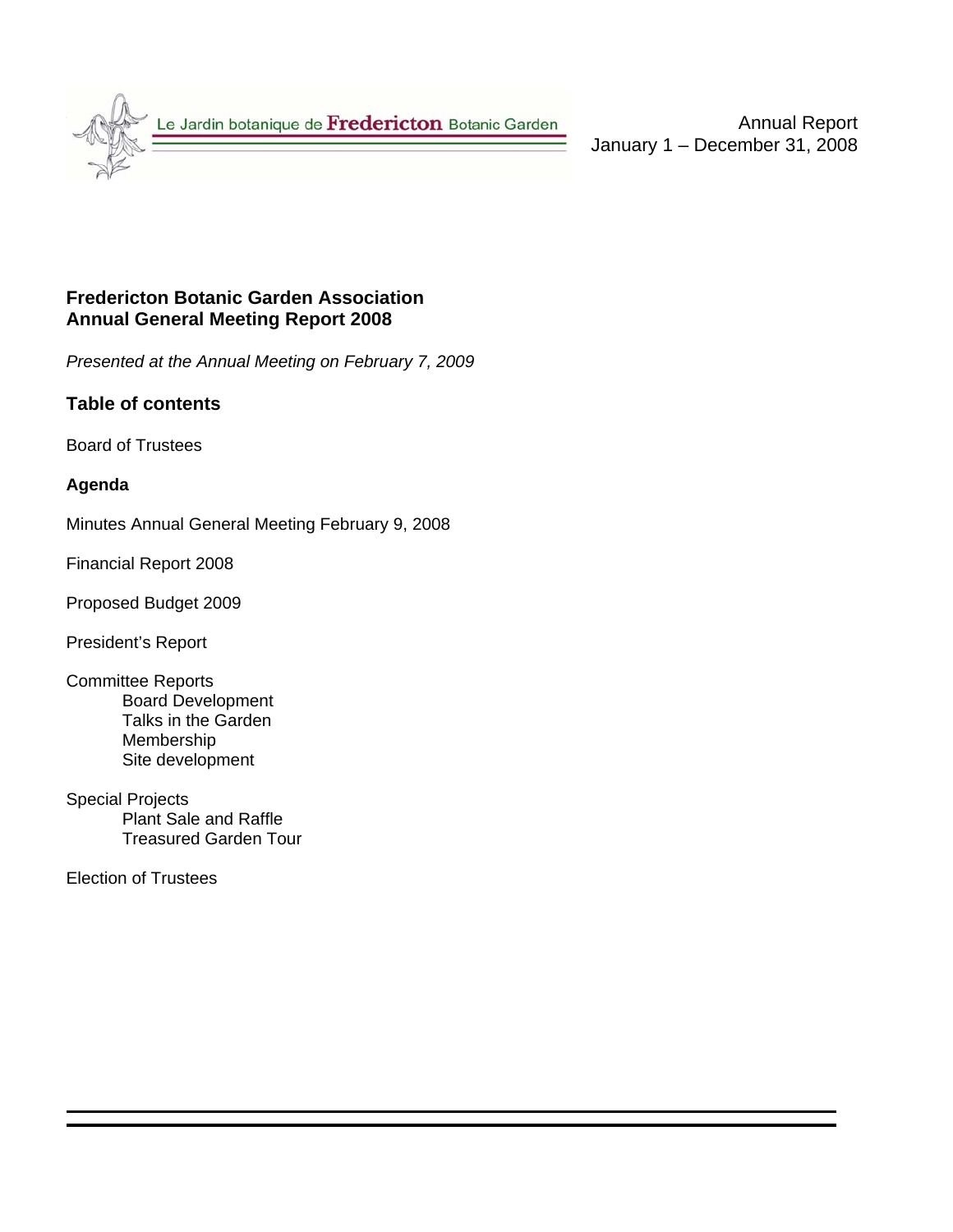

Annual Report January 1 – December 31, 2008

### **Fredericton Botanic Garden Association Annual General Meeting Report 2008**

*Presented at the Annual Meeting on February 7, 2009* 

### **Table of contents**

Board of Trustees

### **Agenda**

Minutes Annual General Meeting February 9, 2008

Financial Report 2008

Proposed Budget 2009

President's Report

- Committee Reports Board Development Talks in the Garden Membership Site development
- Special Projects Plant Sale and Raffle Treasured Garden Tour

Election of Trustees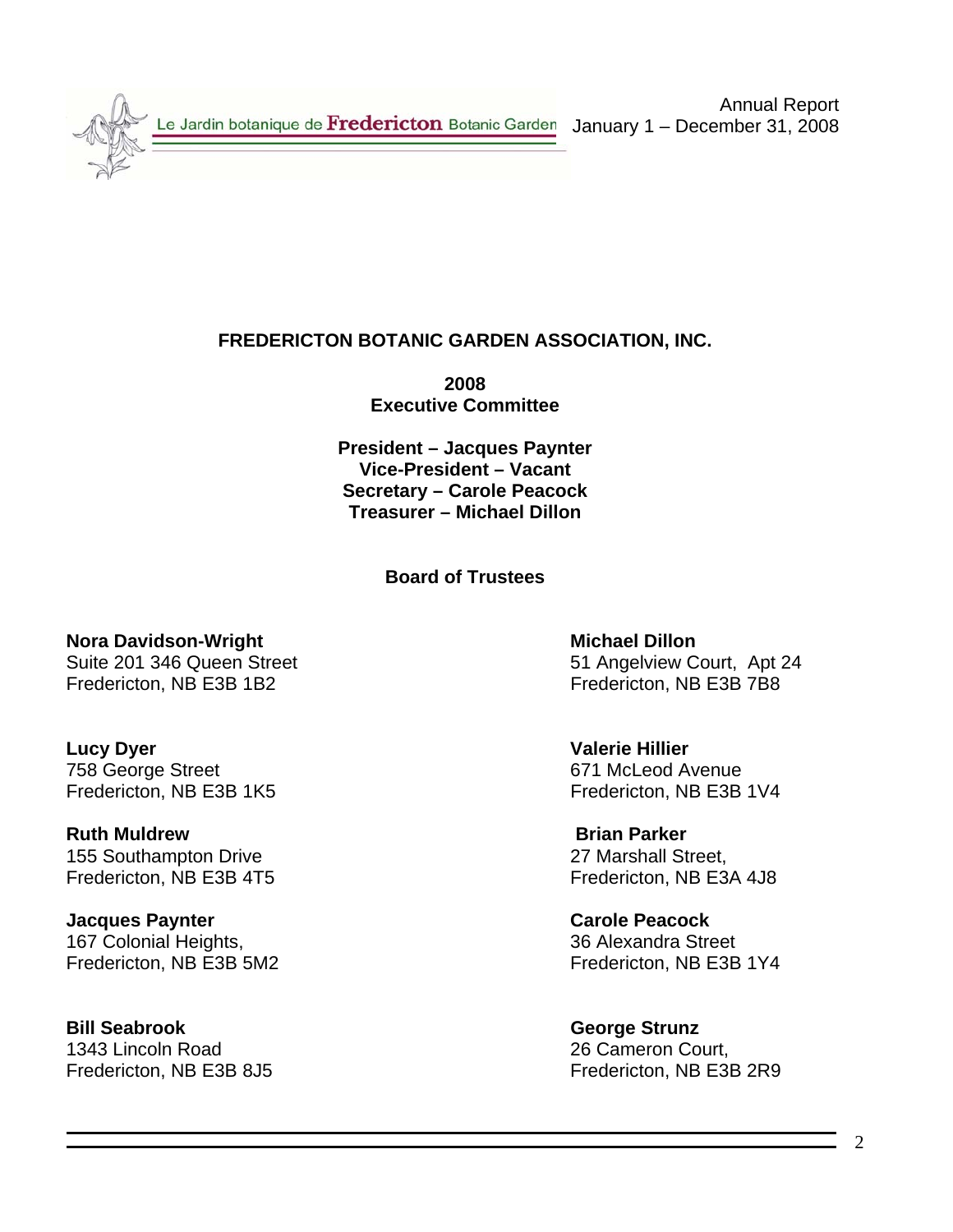Le Jardin botanique de Fredericton Botanic Garden

Annual Report January 1 – December 31, 2008

## **FREDERICTON BOTANIC GARDEN ASSOCIATION, INC.**

**2008 Executive Committee** 

**President – Jacques Paynter Vice-President – Vacant Secretary – Carole Peacock Treasurer – Michael Dillon** 

### **Board of Trustees**

**Nora Davidson-Wright Michael Dillon 2018** Michael Dillon Fredericton, NB E3B 1B2 Fredericton, NB E3B 7B8

**Lucy Dyer** Valerie Hillier 758 George Street 671 McLeod Avenue

**Ruth Muldrew Brian Parker** 155 Southampton Drive 27 Marshall Street,

**Jacques Paynter Carole Peacock** 167 Colonial Heights, 36 Alexandra Street

**Bill Seabrook** George Strunz 1343 Lincoln Road 26 Cameron Court,

Suite 201 346 Queen Street 51 Angelview Court, Apt 24

Fredericton, NB E3B 1K5 Fredericton, NB E3B 1V4

Fredericton, NB E3B 4T5 Fredericton, NB E3A 4J8

Fredericton, NB E3B 5M2 Fredericton, NB E3B 1Y4

Fredericton, NB E3B 8J5 Fredericton, NB E3B 2R9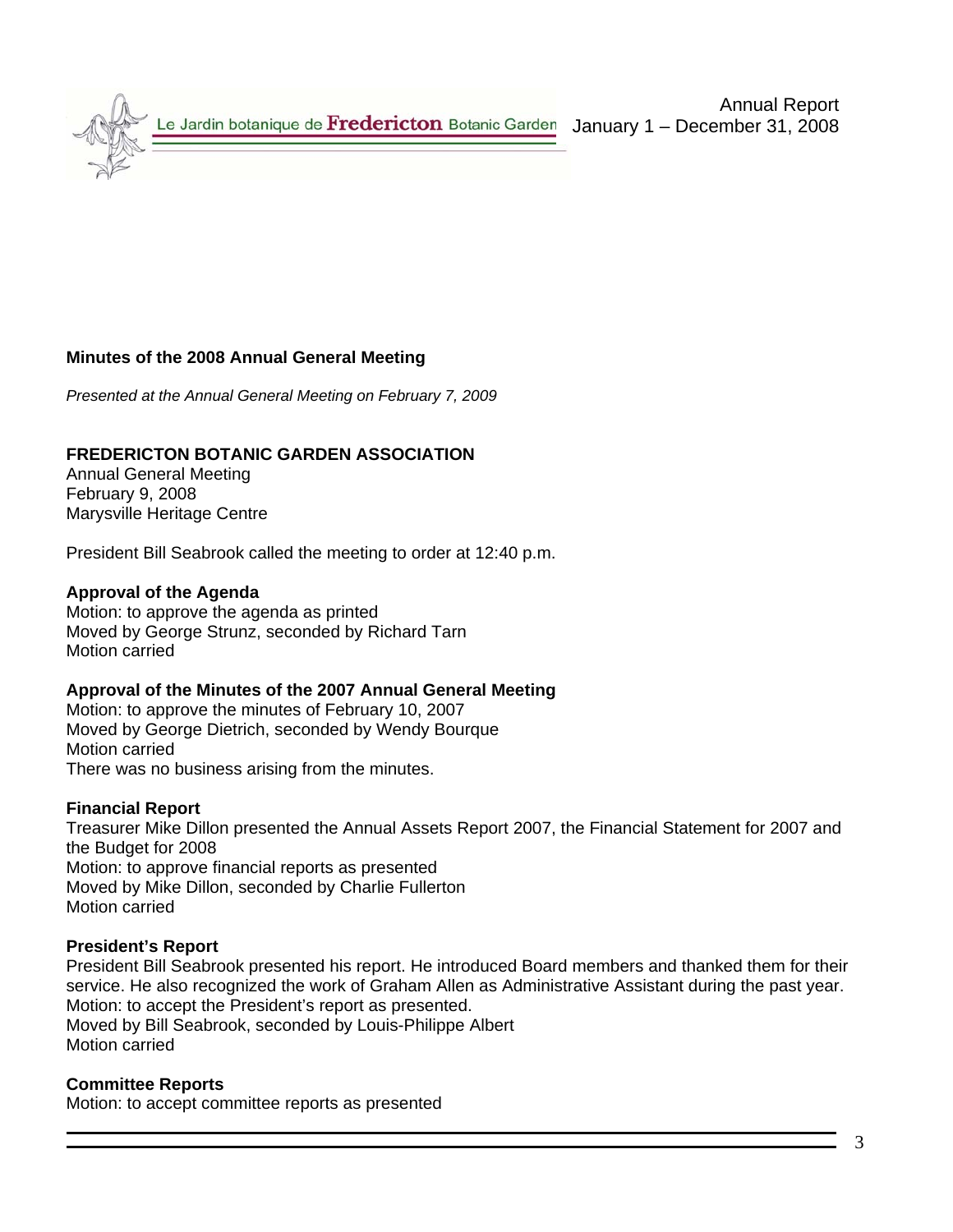Le Jardin botanique de Fredericton Botanic Garden

### **Minutes of the 2008 Annual General Meeting**

*Presented at the Annual General Meeting on February 7, 2009*

#### **FREDERICTON BOTANIC GARDEN ASSOCIATION**

Annual General Meeting February 9, 2008 Marysville Heritage Centre

President Bill Seabrook called the meeting to order at 12:40 p.m.

#### **Approval of the Agenda**

Motion: to approve the agenda as printed Moved by George Strunz, seconded by Richard Tarn Motion carried

#### **Approval of the Minutes of the 2007 Annual General Meeting**

Motion: to approve the minutes of February 10, 2007 Moved by George Dietrich, seconded by Wendy Bourque Motion carried There was no business arising from the minutes.

#### **Financial Report**

Treasurer Mike Dillon presented the Annual Assets Report 2007, the Financial Statement for 2007 and the Budget for 2008 Motion: to approve financial reports as presented Moved by Mike Dillon, seconded by Charlie Fullerton Motion carried

#### **President's Report**

President Bill Seabrook presented his report. He introduced Board members and thanked them for their service. He also recognized the work of Graham Allen as Administrative Assistant during the past year. Motion: to accept the President's report as presented. Moved by Bill Seabrook, seconded by Louis-Philippe Albert Motion carried

#### **Committee Reports**

Motion: to accept committee reports as presented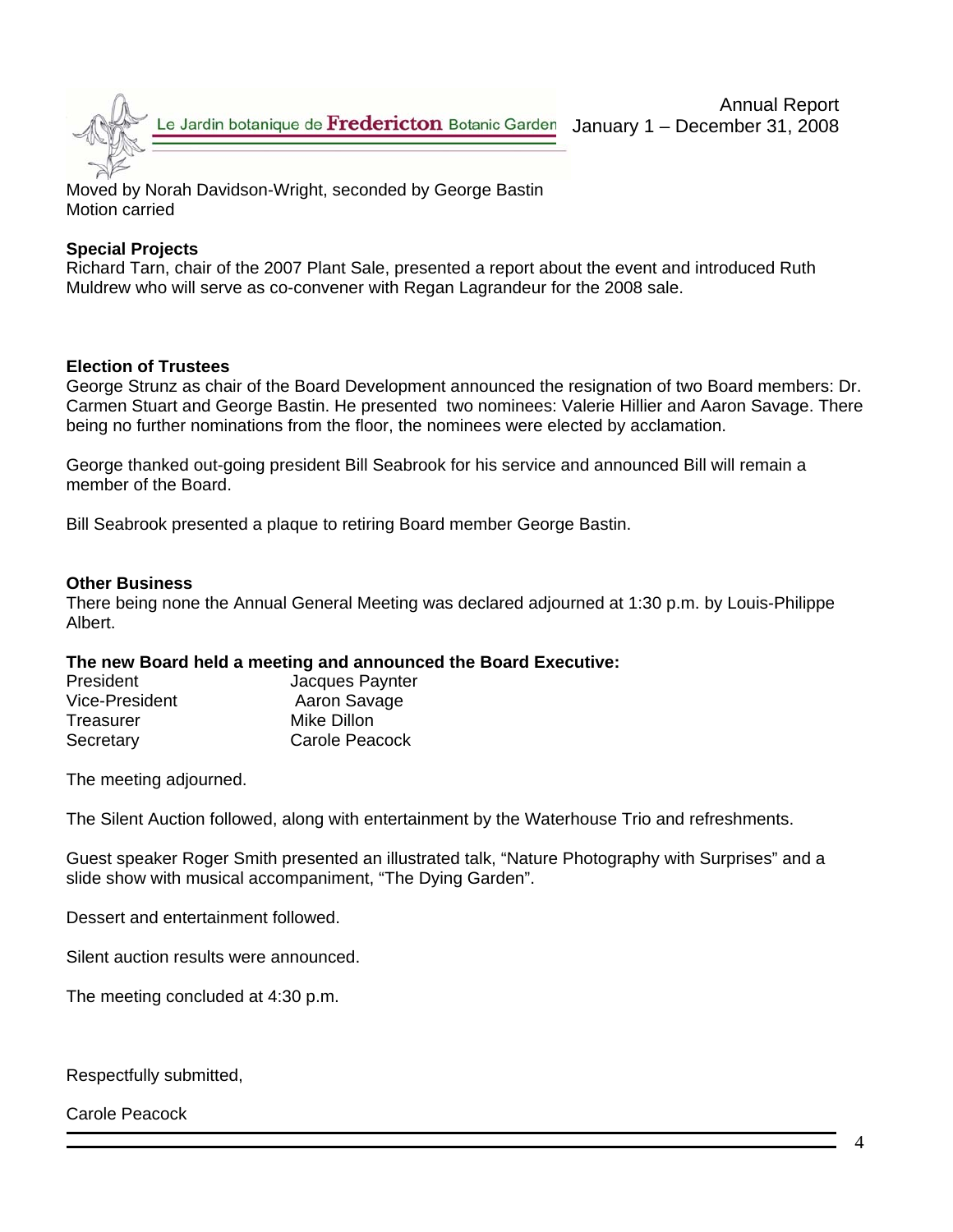

Moved by Norah Davidson-Wright, seconded by George Bastin Motion carried

### **Special Projects**

Richard Tarn, chair of the 2007 Plant Sale, presented a report about the event and introduced Ruth Muldrew who will serve as co-convener with Regan Lagrandeur for the 2008 sale.

### **Election of Trustees**

George Strunz as chair of the Board Development announced the resignation of two Board members: Dr. Carmen Stuart and George Bastin. He presented two nominees: Valerie Hillier and Aaron Savage. There being no further nominations from the floor, the nominees were elected by acclamation.

George thanked out-going president Bill Seabrook for his service and announced Bill will remain a member of the Board.

Bill Seabrook presented a plaque to retiring Board member George Bastin.

#### **Other Business**

There being none the Annual General Meeting was declared adjourned at 1:30 p.m. by Louis-Philippe Albert.

#### **The new Board held a meeting and announced the Board Executive:**

| <b>President</b> | Jacques Paynter |
|------------------|-----------------|
| Vice-President   | Aaron Savage    |
| Treasurer        | Mike Dillon     |
| Secretary        | Carole Peacock  |

The meeting adjourned.

The Silent Auction followed, along with entertainment by the Waterhouse Trio and refreshments.

Guest speaker Roger Smith presented an illustrated talk, "Nature Photography with Surprises" and a slide show with musical accompaniment, "The Dying Garden".

Dessert and entertainment followed.

Silent auction results were announced.

The meeting concluded at 4:30 p.m.

Respectfully submitted,

Carole Peacock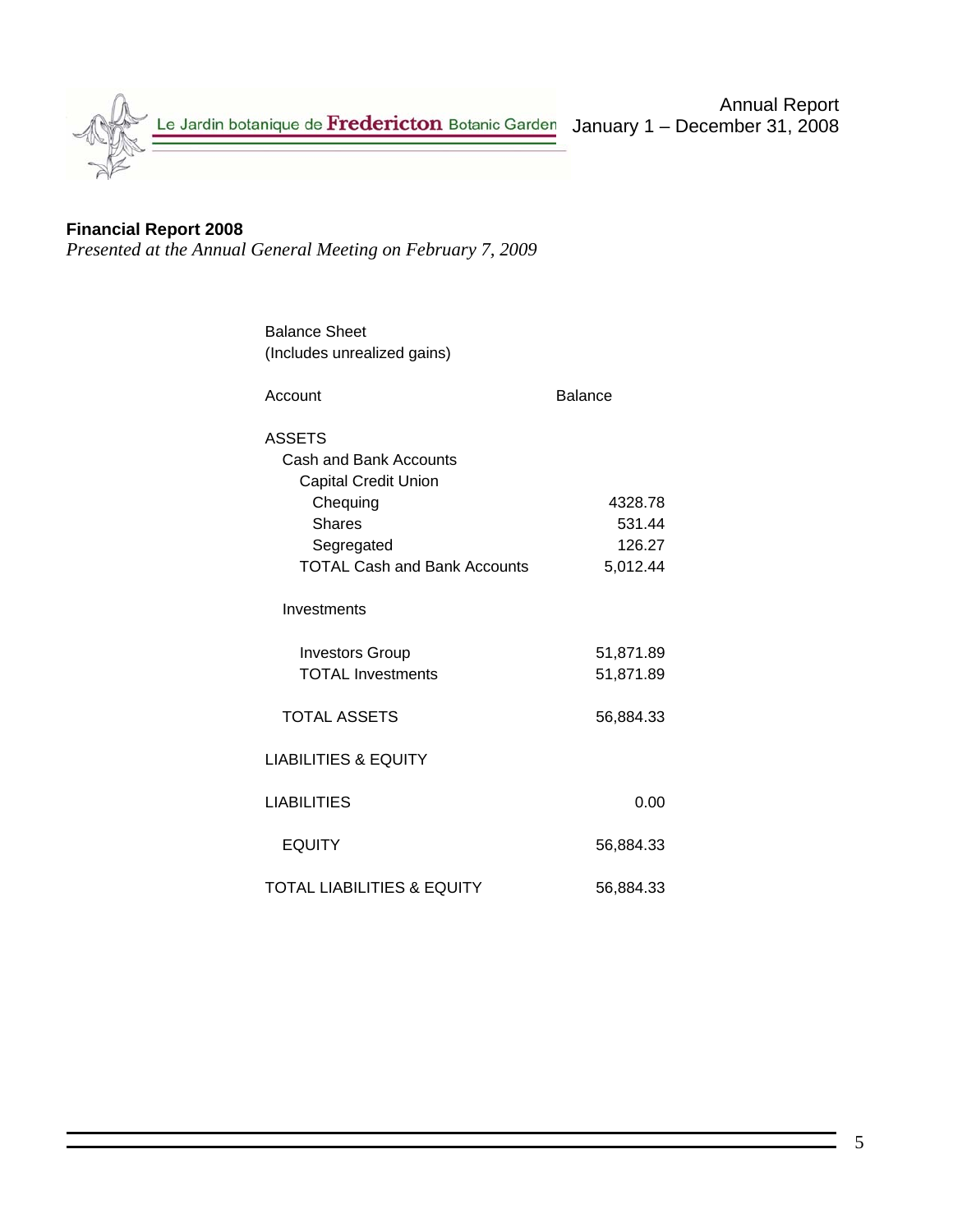

## **Financial Report 2008**

*Presented at the Annual General Meeting on February 7, 2009* 

| <b>Balance Sheet</b>                  |                |
|---------------------------------------|----------------|
| (Includes unrealized gains)           |                |
| Account                               | <b>Balance</b> |
| <b>ASSETS</b>                         |                |
| <b>Cash and Bank Accounts</b>         |                |
| <b>Capital Credit Union</b>           |                |
| Chequing                              | 4328.78        |
| <b>Shares</b>                         | 531.44         |
| Segregated                            | 126.27         |
| <b>TOTAL Cash and Bank Accounts</b>   | 5,012.44       |
| Investments                           |                |
| <b>Investors Group</b>                | 51,871.89      |
| <b>TOTAL Investments</b>              | 51,871.89      |
| <b>TOTAL ASSETS</b>                   | 56,884.33      |
| <b>LIABILITIES &amp; EQUITY</b>       |                |
| <b>LIABILITIES</b>                    | 0.00           |
| <b>EQUITY</b>                         | 56,884.33      |
| <b>TOTAL LIABILITIES &amp; EQUITY</b> | 56,884.33      |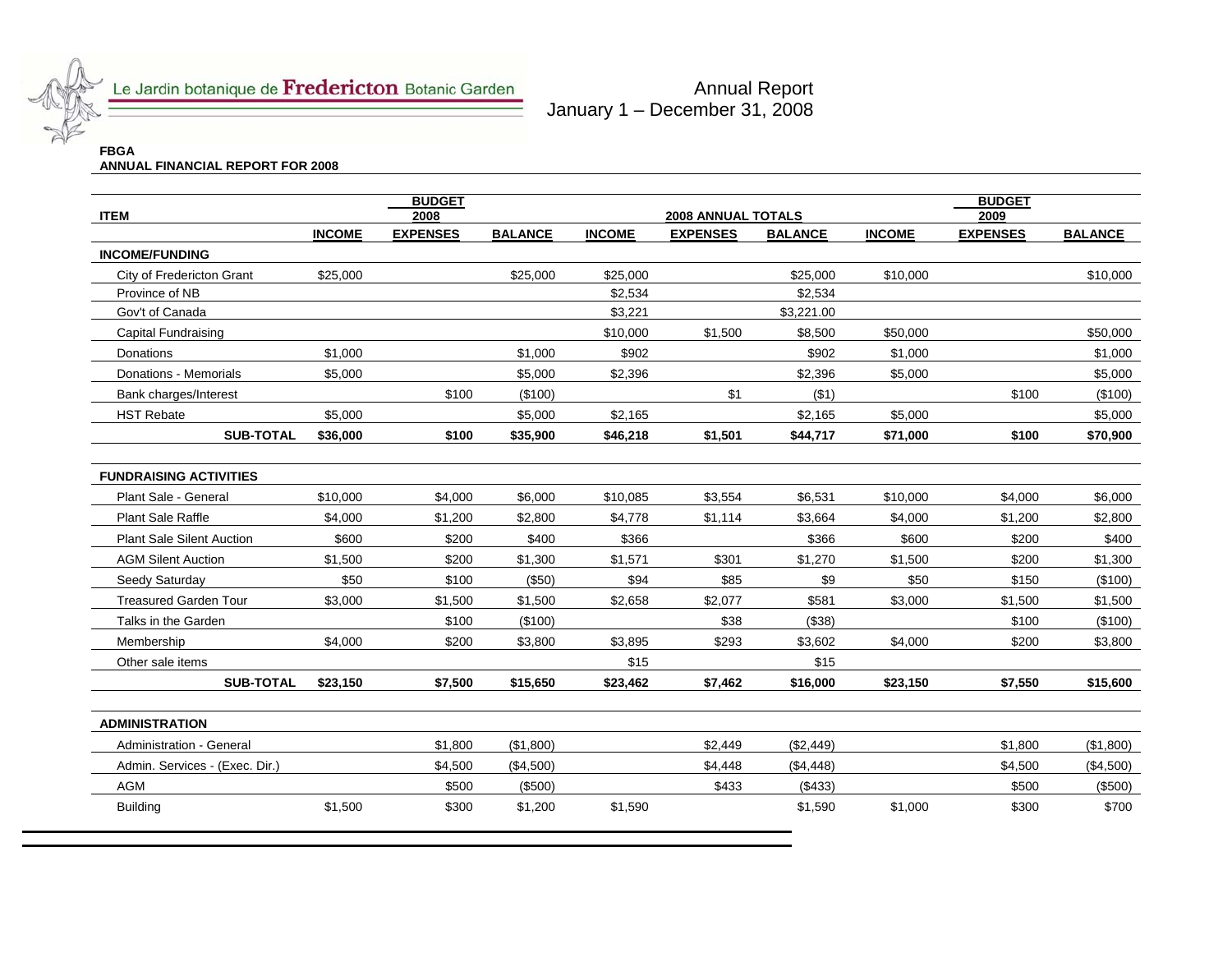

Le Jardin botanique de Fredericton Botanic Garden

Annual Report January 1 – December 31, 2008

# **FBGA ANNUAL FINANCIAL REPORT FOR 2008**

| <b>ITEM</b>                      |               | <b>BUDGET</b><br>2008<br><b>2008 ANNUAL TOTALS</b> |                |               |                 |                | <b>BUDGET</b><br>2009 |                 |                |
|----------------------------------|---------------|----------------------------------------------------|----------------|---------------|-----------------|----------------|-----------------------|-----------------|----------------|
|                                  | <b>INCOME</b> | <b>EXPENSES</b>                                    | <b>BALANCE</b> | <b>INCOME</b> | <b>EXPENSES</b> | <b>BALANCE</b> | <b>INCOME</b>         | <b>EXPENSES</b> | <b>BALANCE</b> |
| <b>INCOME/FUNDING</b>            |               |                                                    |                |               |                 |                |                       |                 |                |
| City of Fredericton Grant        | \$25,000      |                                                    | \$25,000       | \$25,000      |                 | \$25,000       | \$10,000              |                 | \$10,000       |
| Province of NB                   |               |                                                    |                | \$2,534       |                 | \$2,534        |                       |                 |                |
| Gov't of Canada                  |               |                                                    |                | \$3,221       |                 | \$3,221.00     |                       |                 |                |
| Capital Fundraising              |               |                                                    |                | \$10,000      | \$1,500         | \$8,500        | \$50,000              |                 | \$50,000       |
| Donations                        | \$1,000       |                                                    | \$1,000        | \$902         |                 | \$902          | \$1,000               |                 | \$1,000        |
| Donations - Memorials            | \$5,000       |                                                    | \$5,000        | \$2,396       |                 | \$2,396        | \$5,000               |                 | \$5,000        |
| Bank charges/Interest            |               | \$100                                              | (\$100)        |               | \$1             | ( \$1)         |                       | \$100           | (\$100)        |
| <b>HST Rebate</b>                | \$5,000       |                                                    | \$5,000        | \$2,165       |                 | \$2,165        | \$5,000               |                 | \$5,000        |
| <b>SUB-TOTAL</b>                 | \$36,000      | \$100                                              | \$35,900       | \$46,218      | \$1,501         | \$44,717       | \$71,000              | \$100           | \$70,900       |
|                                  |               |                                                    |                |               |                 |                |                       |                 |                |
| <b>FUNDRAISING ACTIVITIES</b>    |               |                                                    |                |               |                 |                |                       |                 |                |
| Plant Sale - General             | \$10,000      | \$4,000                                            | \$6,000        | \$10,085      | \$3,554         | \$6,531        | \$10,000              | \$4,000         | \$6,000        |
| <b>Plant Sale Raffle</b>         | \$4,000       | \$1,200                                            | \$2,800        | \$4,778       | \$1,114         | \$3,664        | \$4,000               | \$1,200         | \$2,800        |
| <b>Plant Sale Silent Auction</b> | \$600         | \$200                                              | \$400          | \$366         |                 | \$366          | \$600                 | \$200           | \$400          |
| <b>AGM Silent Auction</b>        | \$1,500       | \$200                                              | \$1,300        | \$1,571       | \$301           | \$1,270        | \$1,500               | \$200           | \$1,300        |
| Seedy Saturday                   | \$50          | \$100                                              | (\$50)         | \$94          | \$85            | \$9            | \$50                  | \$150           | (\$100)        |
| <b>Treasured Garden Tour</b>     | \$3,000       | \$1,500                                            | \$1,500        | \$2,658       | \$2,077         | \$581          | \$3,000               | \$1,500         | \$1,500        |
| Talks in the Garden              |               | \$100                                              | (\$100)        |               | \$38            | (\$38)         |                       | \$100           | (\$100)        |
| Membership                       | \$4,000       | \$200                                              | \$3,800        | \$3,895       | \$293           | \$3,602        | \$4,000               | \$200           | \$3,800        |
| Other sale items                 |               |                                                    |                | \$15          |                 | \$15           |                       |                 |                |
| <b>SUB-TOTAL</b>                 | \$23,150      | \$7,500                                            | \$15,650       | \$23,462      | \$7,462         | \$16,000       | \$23,150              | \$7,550         | \$15,600       |
| <b>ADMINISTRATION</b>            |               |                                                    |                |               |                 |                |                       |                 |                |
| Administration - General         |               | \$1,800                                            | (\$1,800)      |               | \$2,449         | (\$2,449)      |                       | \$1,800         | (\$1,800)      |
| Admin. Services - (Exec. Dir.)   |               | \$4,500                                            | (\$4,500)      |               | \$4,448         | (\$4,448)      |                       | \$4,500         | (\$4,500)      |
| <b>AGM</b>                       |               | \$500                                              | (\$500)        |               | \$433           | (\$433)        |                       | \$500           | (\$500)        |
| <b>Building</b>                  | \$1,500       | \$300                                              | \$1,200        | \$1,590       |                 | \$1,590        | \$1,000               | \$300           | \$700          |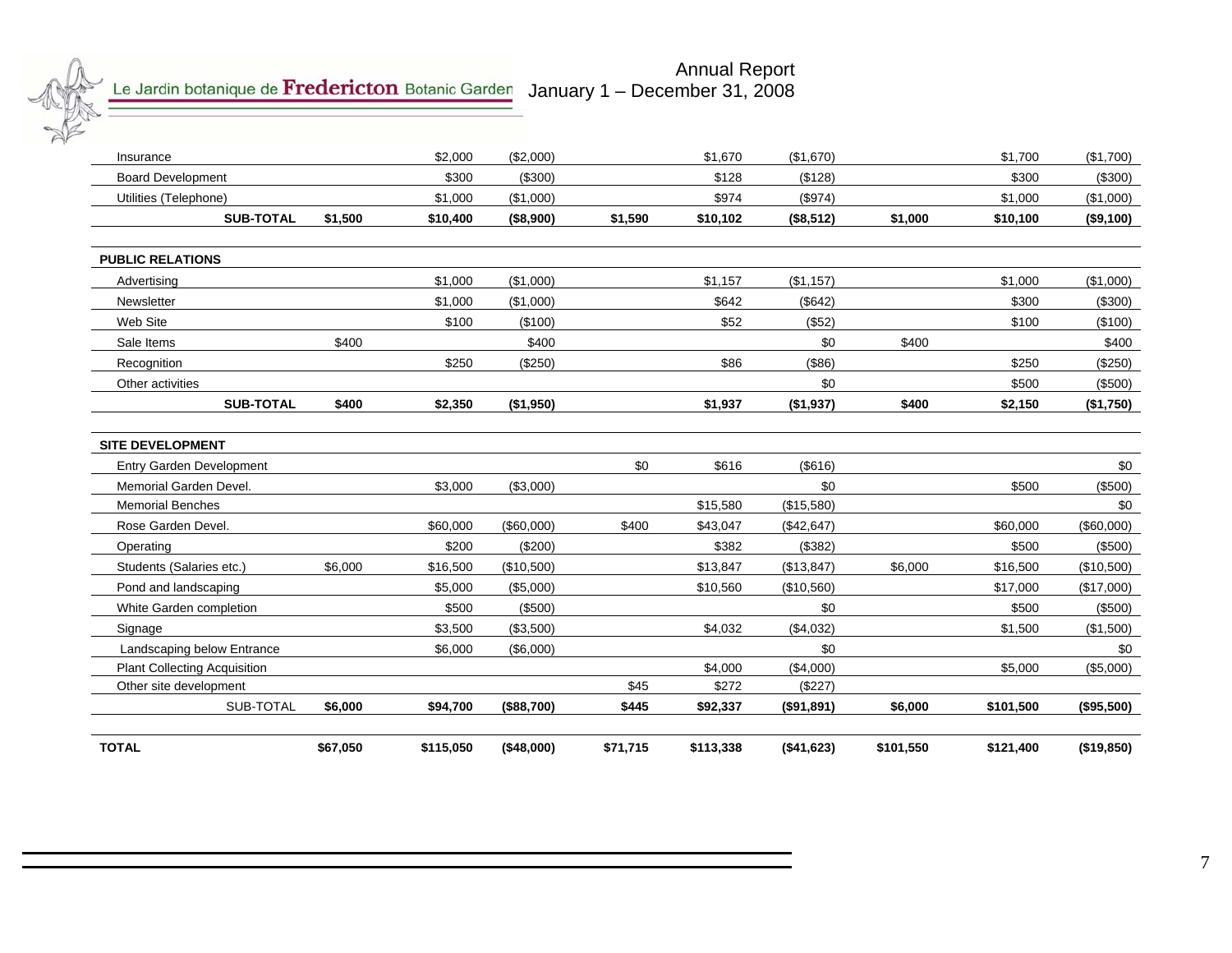

#### Annual Report January 1 – December 31, 2008

| Students (Salaries etc.)<br>Pond and landscaping<br>White Garden completion<br>Landscaping below Entrance<br><b>Plant Collecting Acquisition</b><br>Other site development<br>SUB-TOTAL | \$6,000<br>\$6,000                   | \$200<br>\$16,500<br>\$5,000<br>\$500<br>\$3,500<br>\$6,000<br>\$94.700 | (\$200)<br>(\$10,500)<br>(\$5,000)<br>(\$500)<br>(\$3,500)<br>(\$6,000)<br>(\$88,700) | \$45<br>\$445                                                      | \$382<br>\$13,847<br>\$10,560<br>\$4,032<br>\$4,000<br>\$272<br>\$92,337 | (\$382)<br>(\$13,847)<br>(\$10,560)<br>\$0<br>(\$4,032)<br>\$0<br>(\$4,000)<br>(\$227)<br>(\$91,891) | \$6,000<br>\$6,000                                                   | \$500<br>\$16,500<br>\$17,000<br>\$500<br>\$1,500<br>\$5,000<br>\$101,500 | (\$500)<br>(\$10,500)<br>(\$17,000)<br>(\$500)<br>(\$1,500)<br>\$0<br>(\$5,000)<br>( \$95,500) |
|-----------------------------------------------------------------------------------------------------------------------------------------------------------------------------------------|--------------------------------------|-------------------------------------------------------------------------|---------------------------------------------------------------------------------------|--------------------------------------------------------------------|--------------------------------------------------------------------------|------------------------------------------------------------------------------------------------------|----------------------------------------------------------------------|---------------------------------------------------------------------------|------------------------------------------------------------------------------------------------|
|                                                                                                                                                                                         |                                      |                                                                         |                                                                                       |                                                                    |                                                                          |                                                                                                      |                                                                      |                                                                           |                                                                                                |
|                                                                                                                                                                                         |                                      |                                                                         |                                                                                       |                                                                    |                                                                          |                                                                                                      |                                                                      |                                                                           |                                                                                                |
|                                                                                                                                                                                         |                                      |                                                                         |                                                                                       |                                                                    |                                                                          |                                                                                                      |                                                                      |                                                                           |                                                                                                |
|                                                                                                                                                                                         |                                      |                                                                         |                                                                                       |                                                                    |                                                                          |                                                                                                      |                                                                      |                                                                           |                                                                                                |
|                                                                                                                                                                                         |                                      |                                                                         |                                                                                       |                                                                    |                                                                          |                                                                                                      |                                                                      |                                                                           |                                                                                                |
|                                                                                                                                                                                         |                                      |                                                                         |                                                                                       |                                                                    |                                                                          |                                                                                                      |                                                                      |                                                                           |                                                                                                |
|                                                                                                                                                                                         |                                      |                                                                         |                                                                                       |                                                                    |                                                                          |                                                                                                      |                                                                      |                                                                           |                                                                                                |
|                                                                                                                                                                                         |                                      |                                                                         |                                                                                       |                                                                    |                                                                          |                                                                                                      |                                                                      |                                                                           |                                                                                                |
|                                                                                                                                                                                         |                                      |                                                                         |                                                                                       |                                                                    |                                                                          |                                                                                                      |                                                                      |                                                                           |                                                                                                |
|                                                                                                                                                                                         |                                      | \$60,000                                                                | (\$60,000)                                                                            | \$400                                                              | \$43,047                                                                 | (\$42,647)                                                                                           |                                                                      | \$60,000                                                                  | (\$60,000)                                                                                     |
|                                                                                                                                                                                         |                                      |                                                                         |                                                                                       |                                                                    | \$15,580                                                                 | (\$15,580)                                                                                           |                                                                      |                                                                           | \$0                                                                                            |
| Memorial Garden Devel.                                                                                                                                                                  |                                      | \$3,000                                                                 | (\$3,000)                                                                             |                                                                    |                                                                          | \$0                                                                                                  |                                                                      | \$500                                                                     | (\$500)                                                                                        |
| <b>Entry Garden Development</b>                                                                                                                                                         |                                      |                                                                         |                                                                                       | \$0                                                                | \$616                                                                    | ( \$616)                                                                                             |                                                                      |                                                                           | \$0                                                                                            |
|                                                                                                                                                                                         |                                      |                                                                         |                                                                                       |                                                                    |                                                                          |                                                                                                      |                                                                      |                                                                           |                                                                                                |
|                                                                                                                                                                                         |                                      |                                                                         |                                                                                       |                                                                    |                                                                          |                                                                                                      |                                                                      |                                                                           | (\$1,750)                                                                                      |
|                                                                                                                                                                                         |                                      |                                                                         |                                                                                       |                                                                    |                                                                          |                                                                                                      |                                                                      |                                                                           | (\$500)                                                                                        |
|                                                                                                                                                                                         |                                      |                                                                         |                                                                                       |                                                                    |                                                                          |                                                                                                      |                                                                      |                                                                           | (\$250)                                                                                        |
|                                                                                                                                                                                         |                                      |                                                                         |                                                                                       |                                                                    |                                                                          |                                                                                                      |                                                                      |                                                                           | \$400                                                                                          |
|                                                                                                                                                                                         |                                      |                                                                         |                                                                                       |                                                                    |                                                                          |                                                                                                      |                                                                      |                                                                           | (\$100)                                                                                        |
|                                                                                                                                                                                         |                                      |                                                                         |                                                                                       |                                                                    |                                                                          |                                                                                                      |                                                                      |                                                                           | (\$300)                                                                                        |
|                                                                                                                                                                                         |                                      |                                                                         |                                                                                       |                                                                    |                                                                          |                                                                                                      |                                                                      |                                                                           | (\$1,000)                                                                                      |
|                                                                                                                                                                                         |                                      |                                                                         |                                                                                       |                                                                    |                                                                          |                                                                                                      |                                                                      |                                                                           |                                                                                                |
|                                                                                                                                                                                         |                                      |                                                                         |                                                                                       |                                                                    |                                                                          |                                                                                                      |                                                                      |                                                                           |                                                                                                |
|                                                                                                                                                                                         | \$1,500                              | \$10,400                                                                | (\$8,900)                                                                             | \$1,590                                                            | \$10,102                                                                 | (\$8,512)                                                                                            | \$1,000                                                              | \$10,100                                                                  | (\$9,100)                                                                                      |
|                                                                                                                                                                                         |                                      | \$1,000                                                                 | (\$1,000)                                                                             |                                                                    | \$974                                                                    | (\$974)                                                                                              |                                                                      | \$1,000                                                                   | (\$1,000)                                                                                      |
|                                                                                                                                                                                         |                                      | \$300                                                                   | (\$300)                                                                               |                                                                    | \$128                                                                    | (\$128)                                                                                              |                                                                      | \$300                                                                     | (\$300)                                                                                        |
|                                                                                                                                                                                         |                                      | \$2,000                                                                 | (\$2,000)                                                                             |                                                                    | \$1,670                                                                  | (\$1,670)                                                                                            |                                                                      | \$1,700                                                                   | (\$1,700)                                                                                      |
|                                                                                                                                                                                         | <b>SUB-TOTAL</b><br><b>SUB-TOTAL</b> | \$400<br>\$400                                                          | \$1,000<br>\$1,000<br>\$100<br>\$250<br>\$2,350                                       | (\$1,000)<br>(\$1,000)<br>(\$100)<br>\$400<br>(\$250)<br>(\$1,950) |                                                                          | \$1,157<br>\$642<br>\$52<br>\$86<br>\$1,937                                                          | (\$1,157)<br>(\$642)<br>(\$52)<br>\$0<br>( \$86)<br>\$0<br>(\$1,937) | \$400<br>\$400                                                            | \$1,000<br>\$300<br>\$100<br>\$250<br>\$500<br>\$2,150                                         |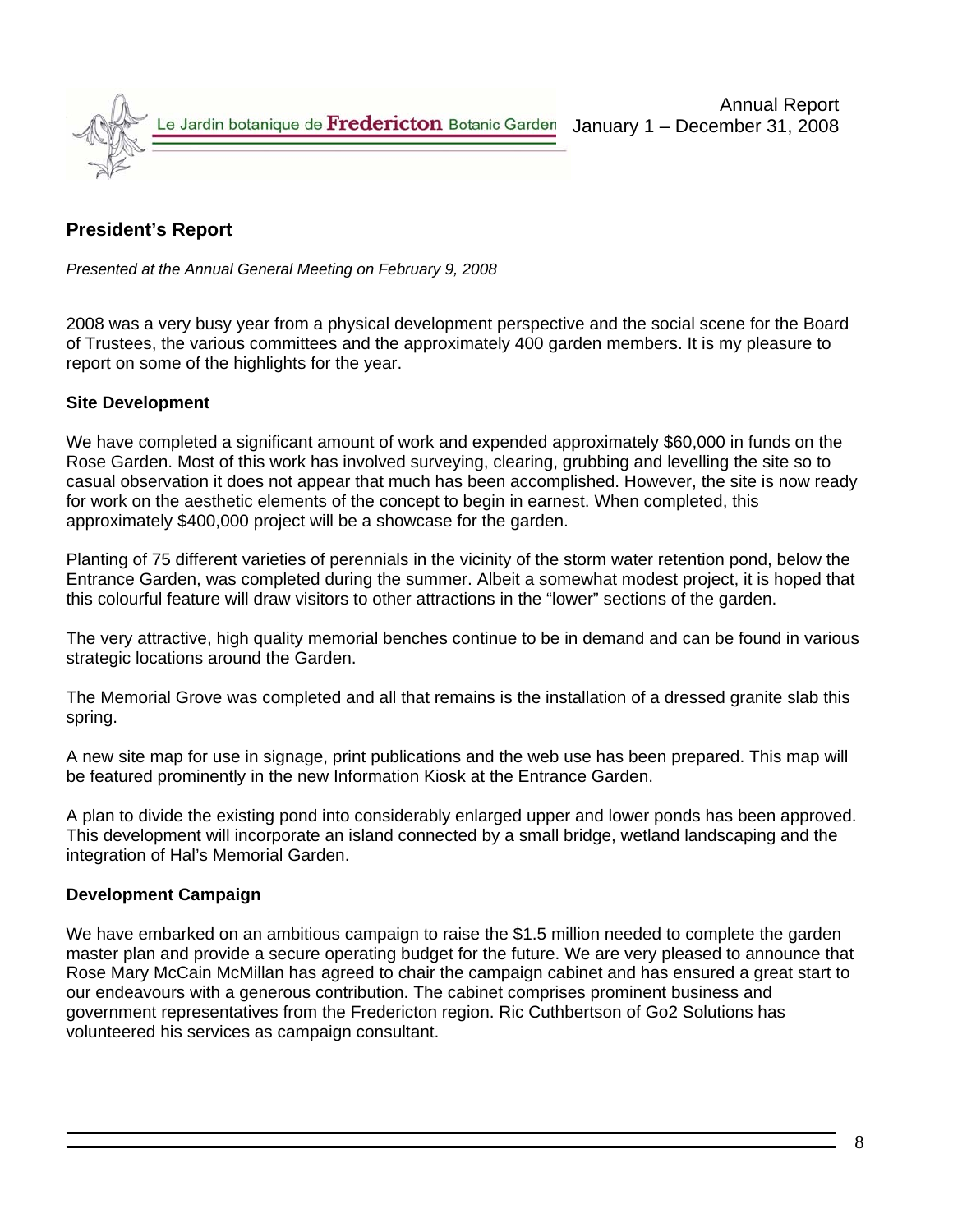

## **President's Report**

*Presented at the Annual General Meeting on February 9, 2008*

2008 was a very busy year from a physical development perspective and the social scene for the Board of Trustees, the various committees and the approximately 400 garden members. It is my pleasure to report on some of the highlights for the year.

### **Site Development**

We have completed a significant amount of work and expended approximately \$60,000 in funds on the Rose Garden. Most of this work has involved surveying, clearing, grubbing and levelling the site so to casual observation it does not appear that much has been accomplished. However, the site is now ready for work on the aesthetic elements of the concept to begin in earnest. When completed, this approximately \$400,000 project will be a showcase for the garden.

Planting of 75 different varieties of perennials in the vicinity of the storm water retention pond, below the Entrance Garden, was completed during the summer. Albeit a somewhat modest project, it is hoped that this colourful feature will draw visitors to other attractions in the "lower" sections of the garden.

The very attractive, high quality memorial benches continue to be in demand and can be found in various strategic locations around the Garden.

The Memorial Grove was completed and all that remains is the installation of a dressed granite slab this spring.

A new site map for use in signage, print publications and the web use has been prepared. This map will be featured prominently in the new Information Kiosk at the Entrance Garden.

A plan to divide the existing pond into considerably enlarged upper and lower ponds has been approved. This development will incorporate an island connected by a small bridge, wetland landscaping and the integration of Hal's Memorial Garden.

### **Development Campaign**

We have embarked on an ambitious campaign to raise the \$1.5 million needed to complete the garden master plan and provide a secure operating budget for the future. We are very pleased to announce that Rose Mary McCain McMillan has agreed to chair the campaign cabinet and has ensured a great start to our endeavours with a generous contribution. The cabinet comprises prominent business and government representatives from the Fredericton region. Ric Cuthbertson of Go2 Solutions has volunteered his services as campaign consultant.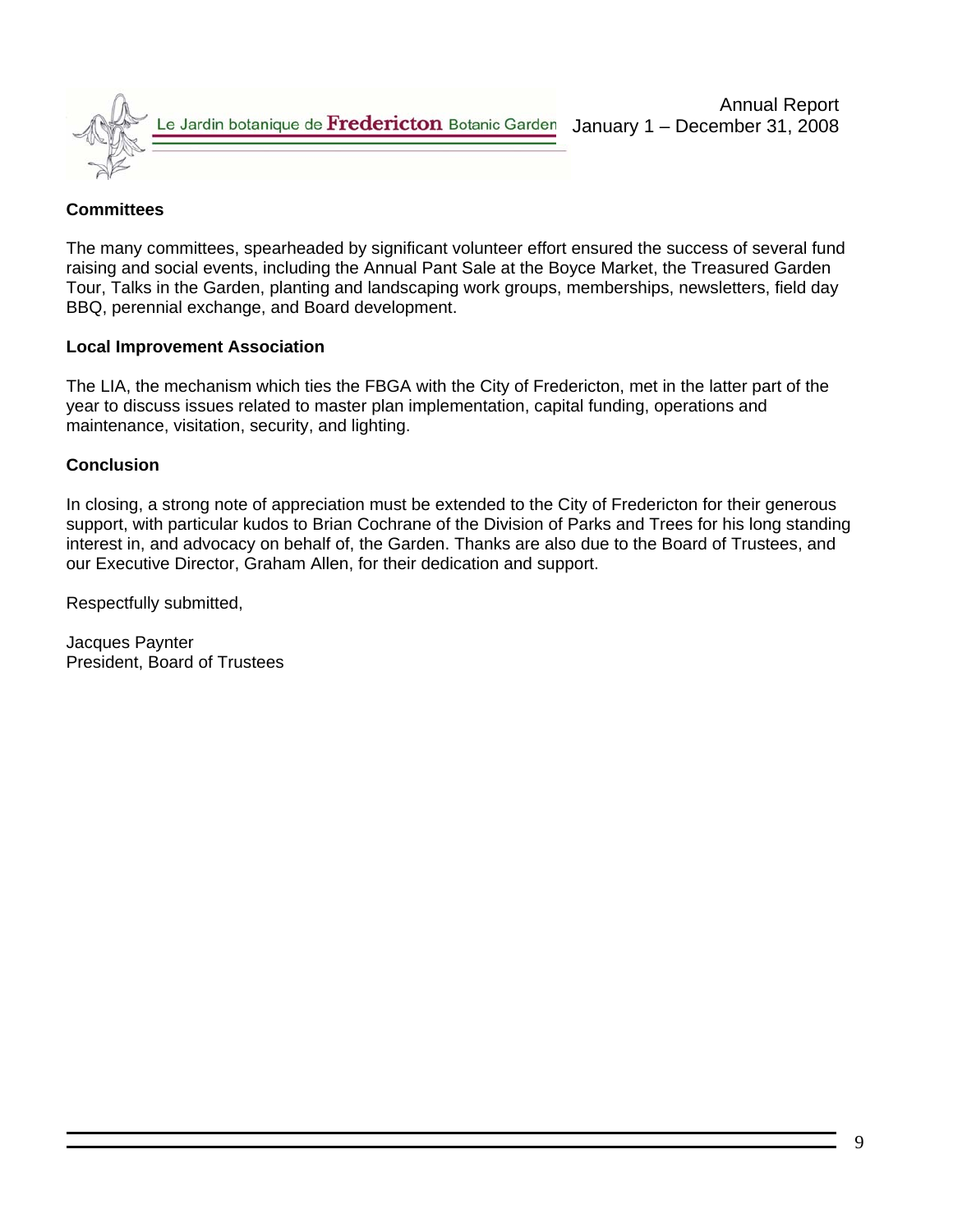

### **Committees**

The many committees, spearheaded by significant volunteer effort ensured the success of several fund raising and social events, including the Annual Pant Sale at the Boyce Market, the Treasured Garden Tour, Talks in the Garden, planting and landscaping work groups, memberships, newsletters, field day BBQ, perennial exchange, and Board development.

### **Local Improvement Association**

The LIA, the mechanism which ties the FBGA with the City of Fredericton, met in the latter part of the year to discuss issues related to master plan implementation, capital funding, operations and maintenance, visitation, security, and lighting.

#### **Conclusion**

In closing, a strong note of appreciation must be extended to the City of Fredericton for their generous support, with particular kudos to Brian Cochrane of the Division of Parks and Trees for his long standing interest in, and advocacy on behalf of, the Garden. Thanks are also due to the Board of Trustees, and our Executive Director, Graham Allen, for their dedication and support.

Respectfully submitted,

Jacques Paynter President, Board of Trustees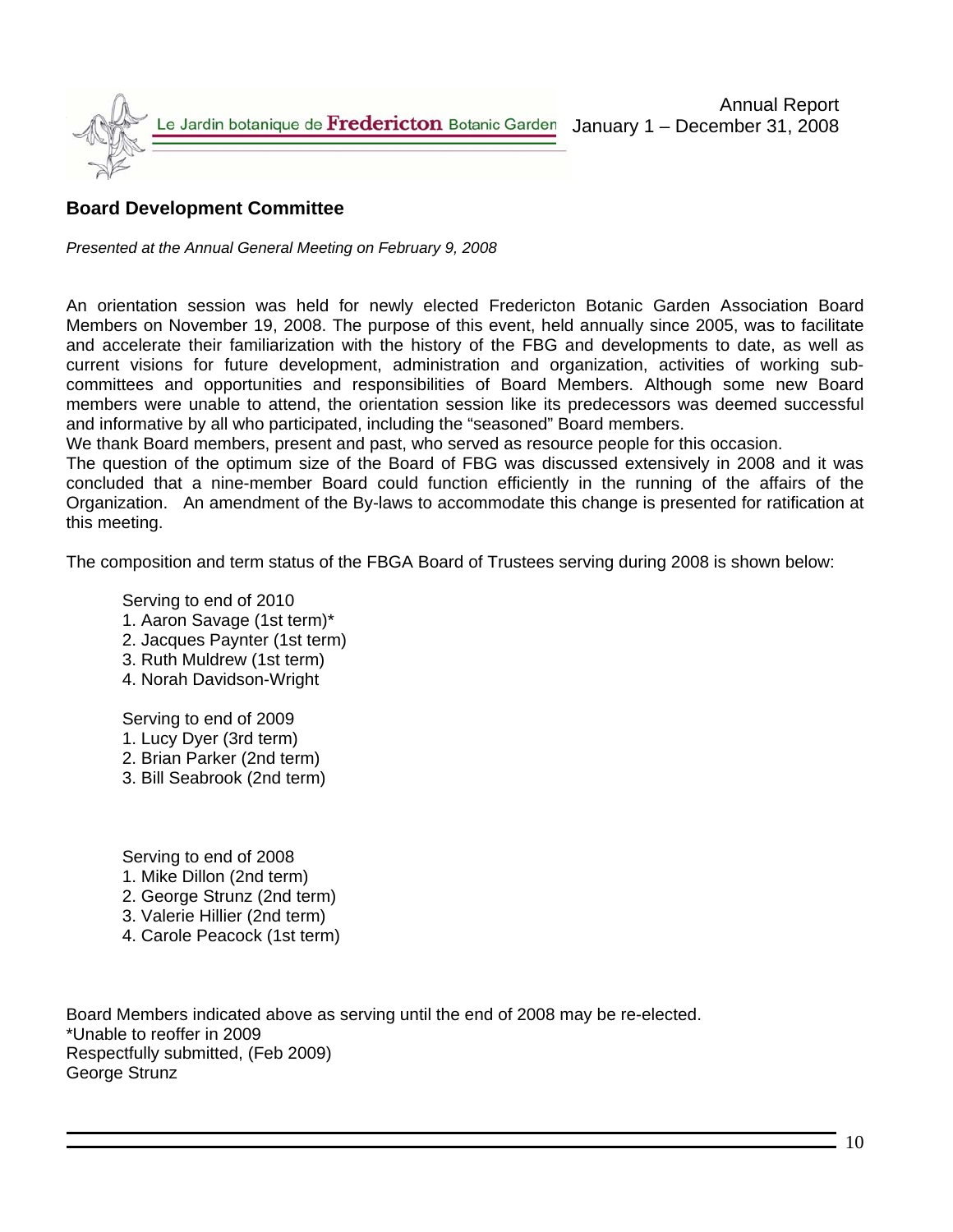

## **Board Development Committee**

*Presented at the Annual General Meeting on February 9, 2008*

An orientation session was held for newly elected Fredericton Botanic Garden Association Board Members on November 19, 2008. The purpose of this event, held annually since 2005, was to facilitate and accelerate their familiarization with the history of the FBG and developments to date, as well as current visions for future development, administration and organization, activities of working subcommittees and opportunities and responsibilities of Board Members. Although some new Board members were unable to attend, the orientation session like its predecessors was deemed successful and informative by all who participated, including the "seasoned" Board members.

We thank Board members, present and past, who served as resource people for this occasion.

The question of the optimum size of the Board of FBG was discussed extensively in 2008 and it was concluded that a nine-member Board could function efficiently in the running of the affairs of the Organization. An amendment of the By-laws to accommodate this change is presented for ratification at this meeting.

The composition and term status of the FBGA Board of Trustees serving during 2008 is shown below:

Serving to end of 2010

- 1. Aaron Savage (1st term)\*
- 2. Jacques Paynter (1st term)
- 3. Ruth Muldrew (1st term)
- 4. Norah Davidson-Wright

Serving to end of 2009

- 1. Lucy Dyer (3rd term)
- 2. Brian Parker (2nd term)
- 3. Bill Seabrook (2nd term)

Serving to end of 2008

- 1. Mike Dillon (2nd term)
- 2. George Strunz (2nd term)
- 3. Valerie Hillier (2nd term)
- 4. Carole Peacock (1st term)

Board Members indicated above as serving until the end of 2008 may be re-elected. \*Unable to reoffer in 2009 Respectfully submitted, (Feb 2009) George Strunz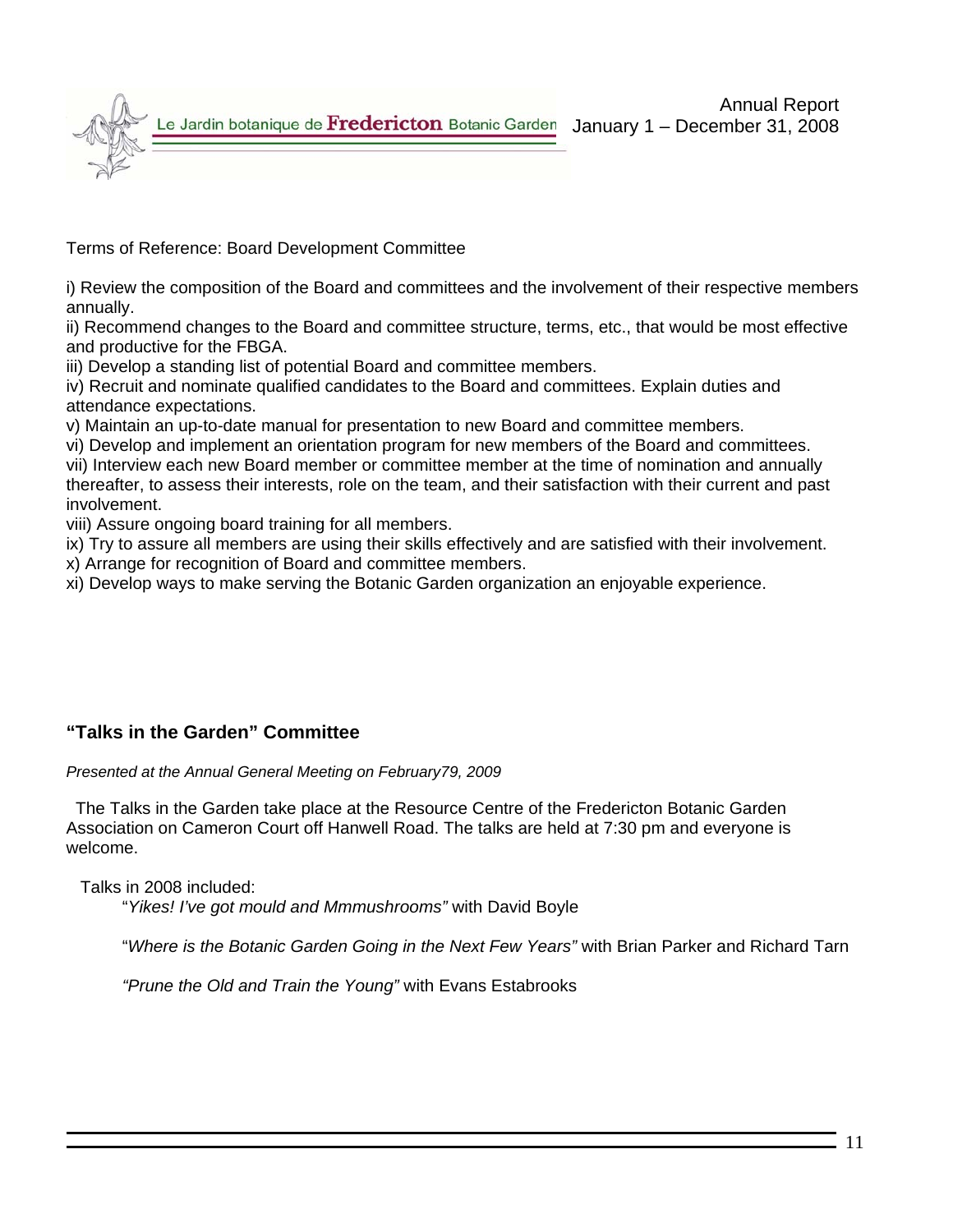Annual Report January 1 – December 31, 2008

Le Jardin botanique de Fredericton Botanic Garden

Terms of Reference: Board Development Committee

i) Review the composition of the Board and committees and the involvement of their respective members annually.

ii) Recommend changes to the Board and committee structure, terms, etc., that would be most effective and productive for the FBGA.

iii) Develop a standing list of potential Board and committee members.

iv) Recruit and nominate qualified candidates to the Board and committees. Explain duties and attendance expectations.

v) Maintain an up-to-date manual for presentation to new Board and committee members.

vi) Develop and implement an orientation program for new members of the Board and committees.

vii) Interview each new Board member or committee member at the time of nomination and annually thereafter, to assess their interests, role on the team, and their satisfaction with their current and past involvement.

viii) Assure ongoing board training for all members.

ix) Try to assure all members are using their skills effectively and are satisfied with their involvement.

x) Arrange for recognition of Board and committee members.

xi) Develop ways to make serving the Botanic Garden organization an enjoyable experience.

## **"Talks in the Garden" Committee**

### *Presented at the Annual General Meeting on February79, 2009*

 The Talks in the Garden take place at the Resource Centre of the Fredericton Botanic Garden Association on Cameron Court off Hanwell Road. The talks are held at 7:30 pm and everyone is welcome.

Talks in 2008 included:

"*Yikes! I've got mould and Mmmushrooms"* with David Boyle

"*Where is the Botanic Garden Going in the Next Few Years"* with Brian Parker and Richard Tarn

*"Prune the Old and Train the Young"* with Evans Estabrooks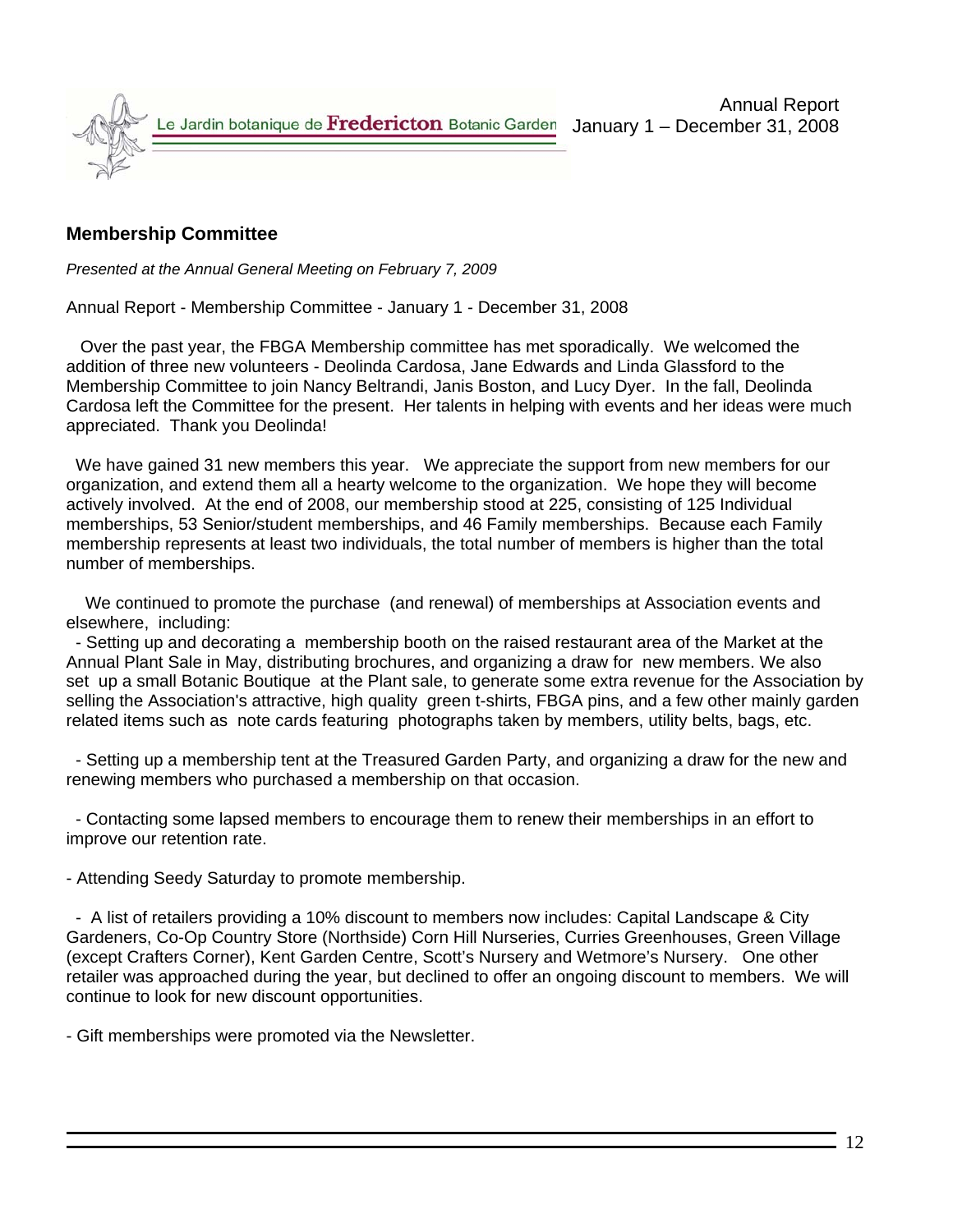

## **Membership Committee**

*Presented at the Annual General Meeting on February 7, 2009*

Annual Report - Membership Committee - January 1 - December 31, 2008

 Over the past year, the FBGA Membership committee has met sporadically. We welcomed the addition of three new volunteers - Deolinda Cardosa, Jane Edwards and Linda Glassford to the Membership Committee to join Nancy Beltrandi, Janis Boston, and Lucy Dyer. In the fall, Deolinda Cardosa left the Committee for the present. Her talents in helping with events and her ideas were much appreciated. Thank you Deolinda!

 We have gained 31 new members this year. We appreciate the support from new members for our organization, and extend them all a hearty welcome to the organization. We hope they will become actively involved. At the end of 2008, our membership stood at 225, consisting of 125 Individual memberships, 53 Senior/student memberships, and 46 Family memberships. Because each Family membership represents at least two individuals, the total number of members is higher than the total number of memberships.

 We continued to promote the purchase (and renewal) of memberships at Association events and elsewhere, including:

 - Setting up and decorating a membership booth on the raised restaurant area of the Market at the Annual Plant Sale in May, distributing brochures, and organizing a draw for new members. We also set up a small Botanic Boutique at the Plant sale, to generate some extra revenue for the Association by selling the Association's attractive, high quality green t-shirts, FBGA pins, and a few other mainly garden related items such as note cards featuring photographs taken by members, utility belts, bags, etc.

 - Setting up a membership tent at the Treasured Garden Party, and organizing a draw for the new and renewing members who purchased a membership on that occasion.

 - Contacting some lapsed members to encourage them to renew their memberships in an effort to improve our retention rate.

- Attending Seedy Saturday to promote membership.

 - A list of retailers providing a 10% discount to members now includes: Capital Landscape & City Gardeners, Co-Op Country Store (Northside) Corn Hill Nurseries, Curries Greenhouses, Green Village (except Crafters Corner), Kent Garden Centre, Scott's Nursery and Wetmore's Nursery. One other retailer was approached during the year, but declined to offer an ongoing discount to members. We will continue to look for new discount opportunities.

- Gift memberships were promoted via the Newsletter.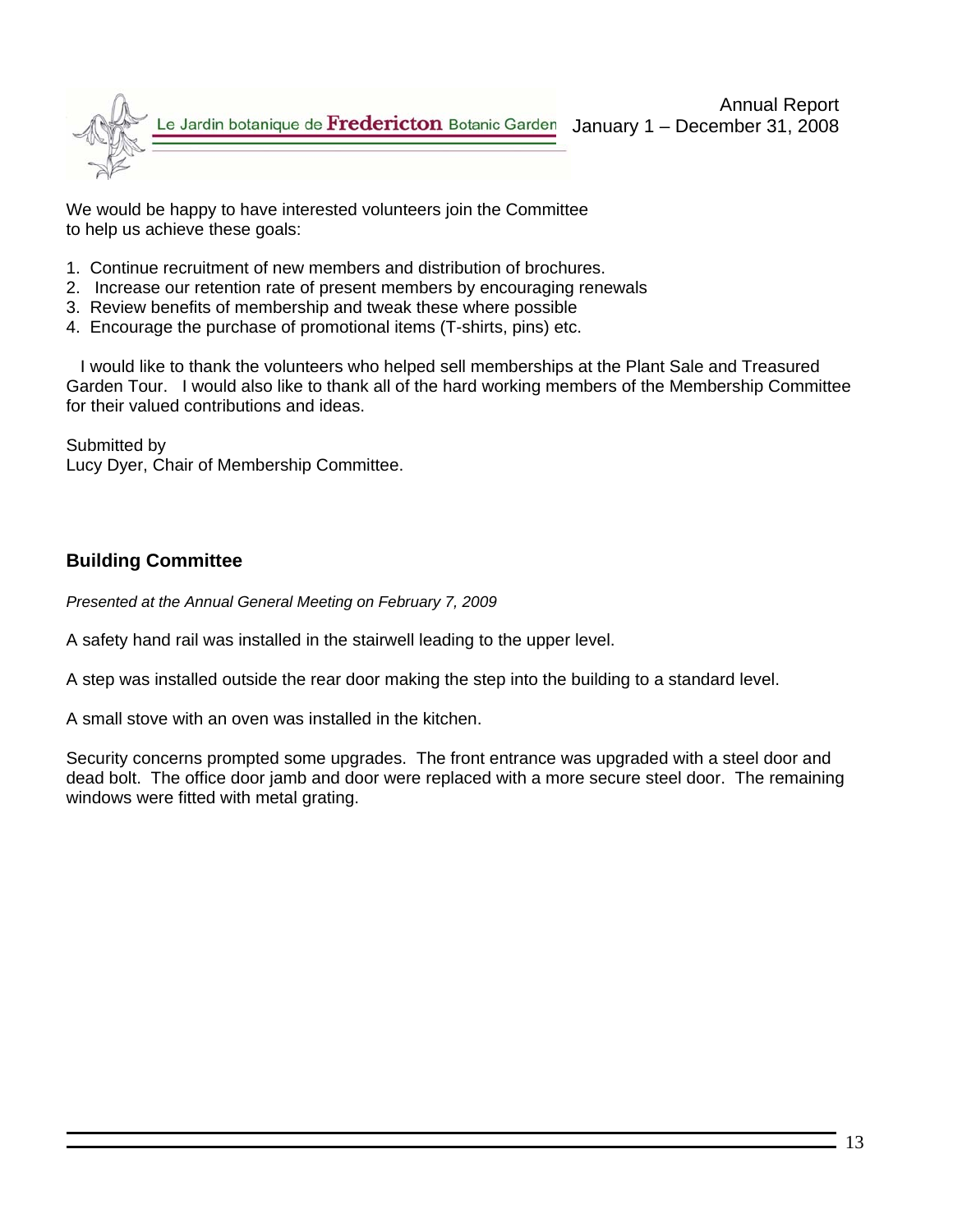

We would be happy to have interested volunteers join the Committee to help us achieve these goals:

- 1. Continue recruitment of new members and distribution of brochures.
- 2. Increase our retention rate of present members by encouraging renewals
- 3. Review benefits of membership and tweak these where possible
- 4. Encourage the purchase of promotional items (T-shirts, pins) etc.

 I would like to thank the volunteers who helped sell memberships at the Plant Sale and Treasured Garden Tour. I would also like to thank all of the hard working members of the Membership Committee for their valued contributions and ideas.

Submitted by Lucy Dyer, Chair of Membership Committee.

### **Building Committee**

*Presented at the Annual General Meeting on February 7, 2009* 

A safety hand rail was installed in the stairwell leading to the upper level.

A step was installed outside the rear door making the step into the building to a standard level.

A small stove with an oven was installed in the kitchen.

Security concerns prompted some upgrades. The front entrance was upgraded with a steel door and dead bolt. The office door jamb and door were replaced with a more secure steel door. The remaining windows were fitted with metal grating.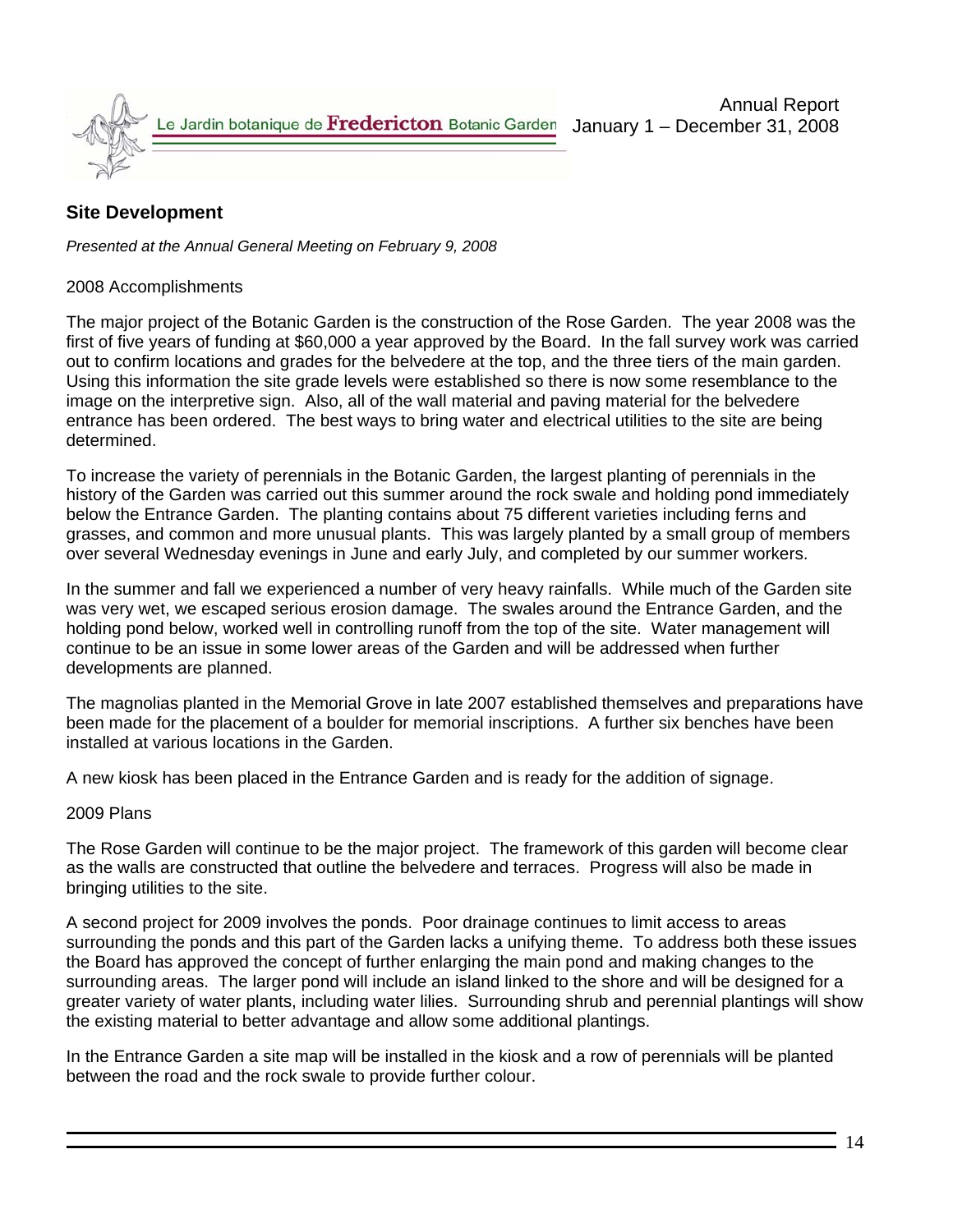

## **Site Development**

*Presented at the Annual General Meeting on February 9, 2008* 

#### 2008 Accomplishments

The major project of the Botanic Garden is the construction of the Rose Garden. The year 2008 was the first of five years of funding at \$60,000 a year approved by the Board. In the fall survey work was carried out to confirm locations and grades for the belvedere at the top, and the three tiers of the main garden. Using this information the site grade levels were established so there is now some resemblance to the image on the interpretive sign. Also, all of the wall material and paving material for the belvedere entrance has been ordered. The best ways to bring water and electrical utilities to the site are being determined.

To increase the variety of perennials in the Botanic Garden, the largest planting of perennials in the history of the Garden was carried out this summer around the rock swale and holding pond immediately below the Entrance Garden. The planting contains about 75 different varieties including ferns and grasses, and common and more unusual plants. This was largely planted by a small group of members over several Wednesday evenings in June and early July, and completed by our summer workers.

In the summer and fall we experienced a number of very heavy rainfalls. While much of the Garden site was very wet, we escaped serious erosion damage. The swales around the Entrance Garden, and the holding pond below, worked well in controlling runoff from the top of the site. Water management will continue to be an issue in some lower areas of the Garden and will be addressed when further developments are planned.

The magnolias planted in the Memorial Grove in late 2007 established themselves and preparations have been made for the placement of a boulder for memorial inscriptions. A further six benches have been installed at various locations in the Garden.

A new kiosk has been placed in the Entrance Garden and is ready for the addition of signage.

#### 2009 Plans

The Rose Garden will continue to be the major project. The framework of this garden will become clear as the walls are constructed that outline the belvedere and terraces. Progress will also be made in bringing utilities to the site.

A second project for 2009 involves the ponds. Poor drainage continues to limit access to areas surrounding the ponds and this part of the Garden lacks a unifying theme. To address both these issues the Board has approved the concept of further enlarging the main pond and making changes to the surrounding areas. The larger pond will include an island linked to the shore and will be designed for a greater variety of water plants, including water lilies. Surrounding shrub and perennial plantings will show the existing material to better advantage and allow some additional plantings.

In the Entrance Garden a site map will be installed in the kiosk and a row of perennials will be planted between the road and the rock swale to provide further colour.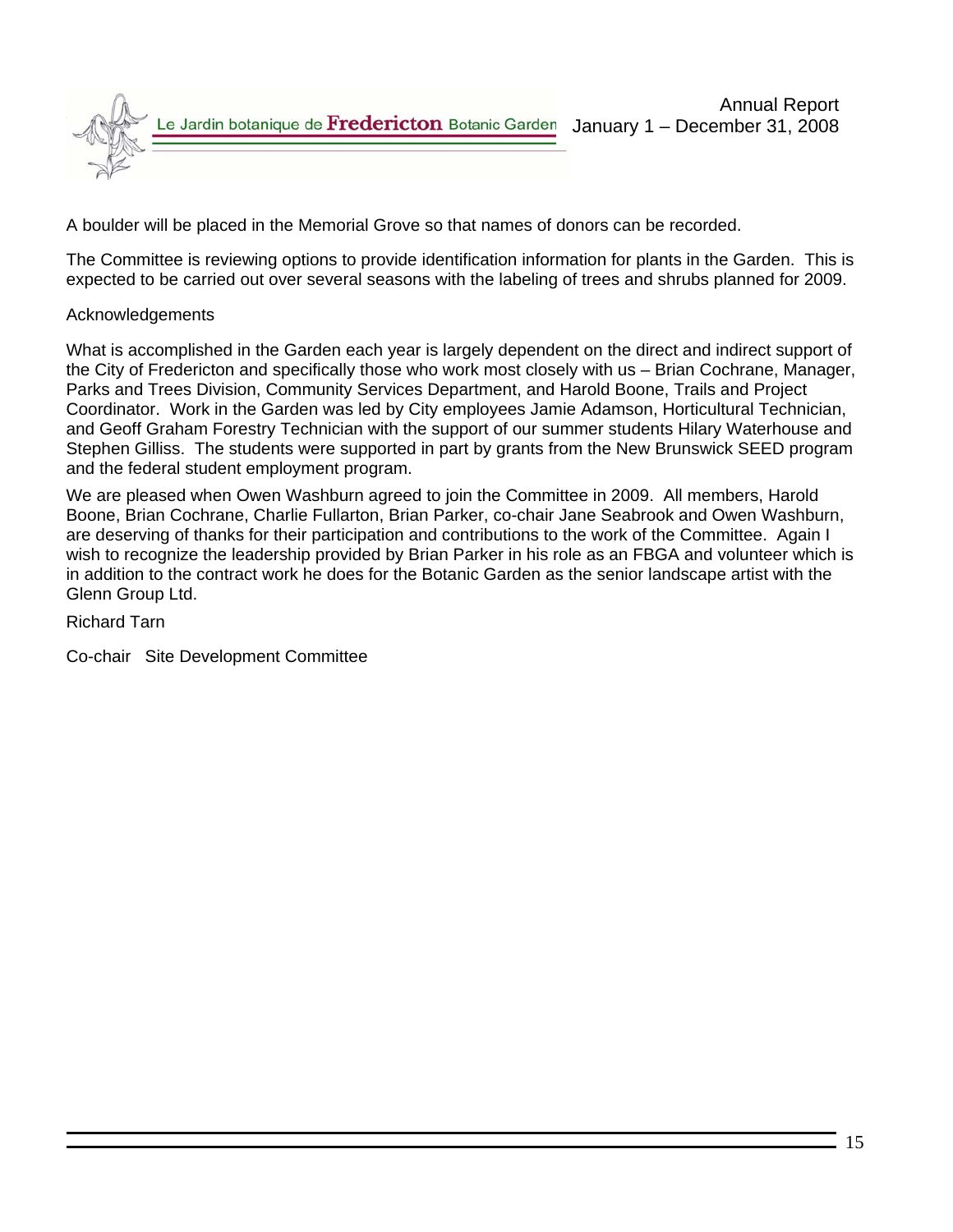

A boulder will be placed in the Memorial Grove so that names of donors can be recorded.

The Committee is reviewing options to provide identification information for plants in the Garden. This is expected to be carried out over several seasons with the labeling of trees and shrubs planned for 2009.

### Acknowledgements

What is accomplished in the Garden each year is largely dependent on the direct and indirect support of the City of Fredericton and specifically those who work most closely with us – Brian Cochrane, Manager, Parks and Trees Division, Community Services Department, and Harold Boone, Trails and Project Coordinator. Work in the Garden was led by City employees Jamie Adamson, Horticultural Technician, and Geoff Graham Forestry Technician with the support of our summer students Hilary Waterhouse and Stephen Gilliss. The students were supported in part by grants from the New Brunswick SEED program and the federal student employment program.

We are pleased when Owen Washburn agreed to join the Committee in 2009. All members, Harold Boone, Brian Cochrane, Charlie Fullarton, Brian Parker, co-chair Jane Seabrook and Owen Washburn, are deserving of thanks for their participation and contributions to the work of the Committee. Again I wish to recognize the leadership provided by Brian Parker in his role as an FBGA and volunteer which is in addition to the contract work he does for the Botanic Garden as the senior landscape artist with the Glenn Group Ltd.

Richard Tarn

Co-chair Site Development Committee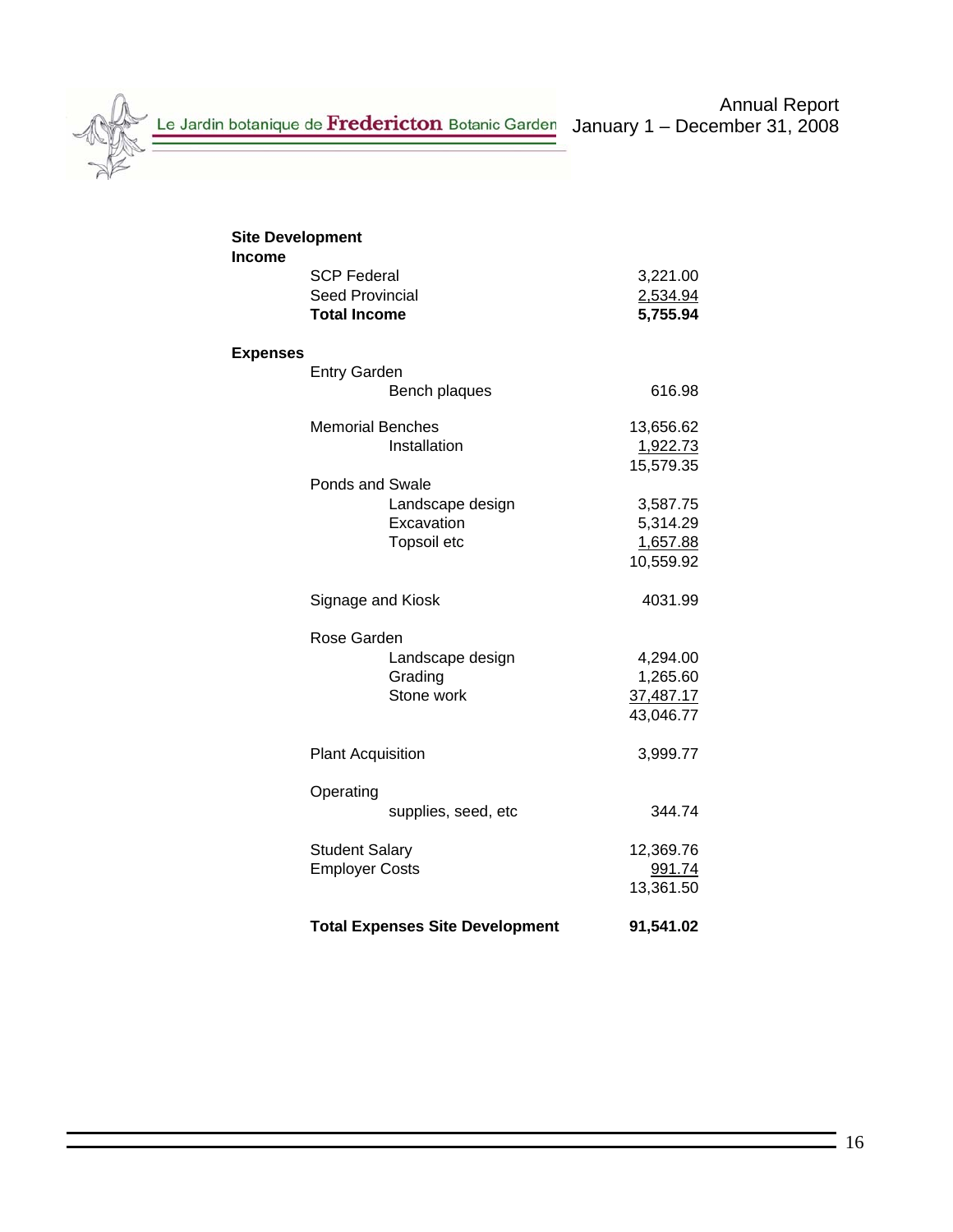Le Jardin botanique de Fredericton Botanic Garden January 1 – December 31, 2008

| <b>Site Development</b><br><b>Income</b> |                                                                     |                                               |                                                |
|------------------------------------------|---------------------------------------------------------------------|-----------------------------------------------|------------------------------------------------|
|                                          | <b>SCP Federal</b><br><b>Seed Provincial</b><br><b>Total Income</b> |                                               | 3,221.00<br>2,534.94<br>5,755.94               |
| <b>Expenses</b>                          |                                                                     |                                               |                                                |
|                                          | <b>Entry Garden</b>                                                 | Bench plaques                                 | 616.98                                         |
|                                          | <b>Memorial Benches</b>                                             | Installation                                  | 13,656.62<br>1,922.73<br>15,579.35             |
|                                          | <b>Ponds and Swale</b>                                              | Landscape design<br>Excavation<br>Topsoil etc | 3,587.75<br>5,314.29<br>1,657.88<br>10,559.92  |
|                                          | Signage and Kiosk                                                   |                                               | 4031.99                                        |
|                                          | Rose Garden                                                         | Landscape design<br>Grading<br>Stone work     | 4,294.00<br>1,265.60<br>37,487.17<br>43,046.77 |
|                                          | <b>Plant Acquisition</b>                                            |                                               | 3,999.77                                       |
|                                          | Operating                                                           | supplies, seed, etc                           | 344.74                                         |
|                                          | <b>Student Salary</b><br><b>Employer Costs</b>                      |                                               | 12,369.76<br>991.74<br>13,361.50               |
|                                          |                                                                     | <b>Total Expenses Site Development</b>        | 91,541.02                                      |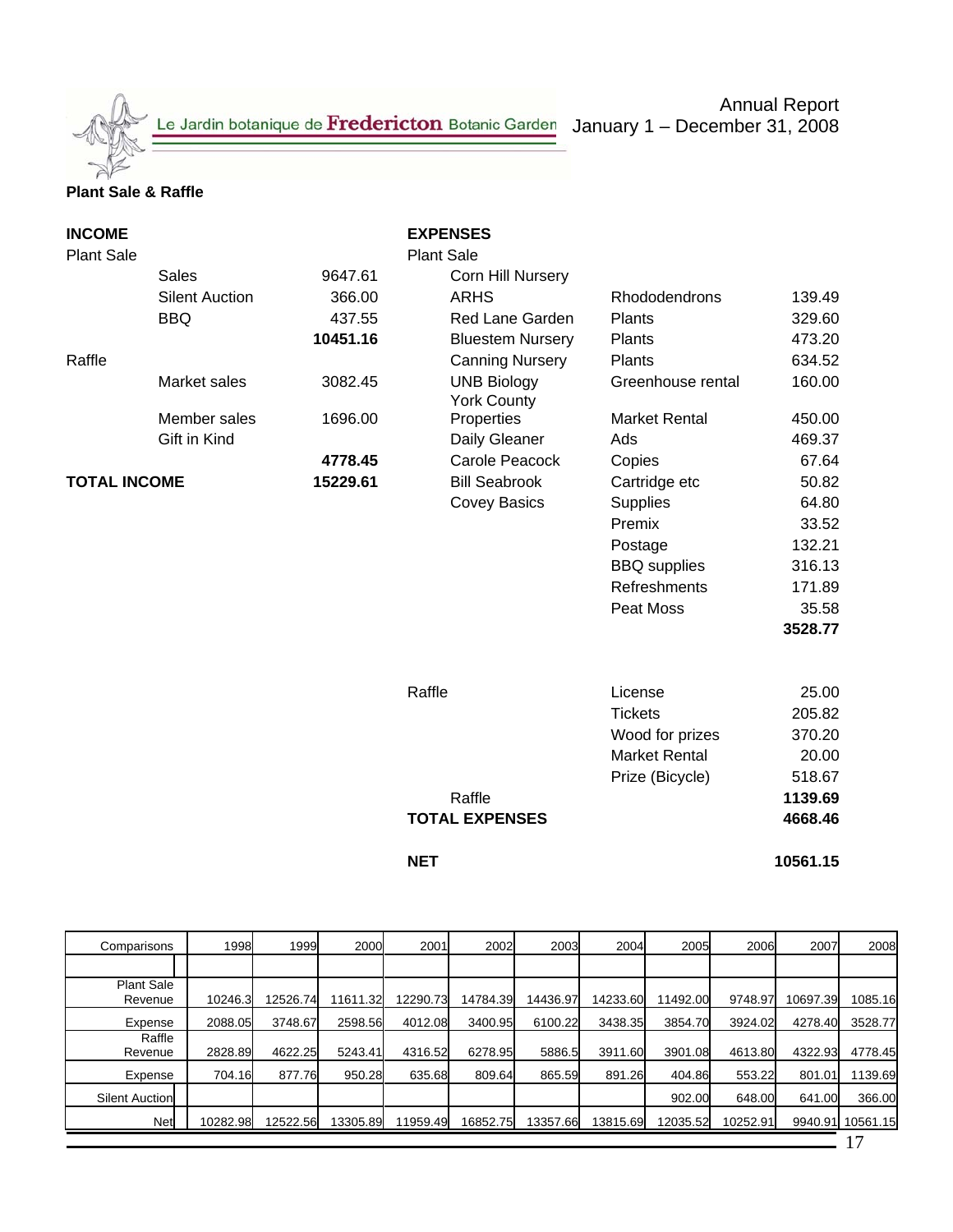Le Jardin botanique de Fredericton Botanic Garden January 1 – December 31, 2008

Annual Report

### **Plant Sale & Raffle**

| <b>INCOME</b><br><b>Plant Sale</b> |                       |          | <b>EXPENSES</b><br><b>Plant Sale</b> |                      |          |
|------------------------------------|-----------------------|----------|--------------------------------------|----------------------|----------|
|                                    | <b>Sales</b>          | 9647.61  | Corn Hill Nursery                    |                      |          |
|                                    | <b>Silent Auction</b> | 366.00   | <b>ARHS</b>                          | Rhododendrons        | 139.49   |
|                                    | <b>BBQ</b>            | 437.55   | Red Lane Garden                      | Plants               | 329.60   |
|                                    |                       | 10451.16 | <b>Bluestem Nursery</b>              | Plants               | 473.20   |
| Raffle                             |                       |          | <b>Canning Nursery</b>               | Plants               | 634.52   |
|                                    | Market sales          | 3082.45  | <b>UNB Biology</b>                   | Greenhouse rental    | 160.00   |
|                                    |                       |          | <b>York County</b>                   |                      |          |
|                                    | Member sales          | 1696.00  | Properties                           | <b>Market Rental</b> | 450.00   |
|                                    | Gift in Kind          |          | Daily Gleaner                        | Ads                  | 469.37   |
|                                    |                       | 4778.45  | Carole Peacock                       | Copies               | 67.64    |
| <b>TOTAL INCOME</b>                |                       | 15229.61 | <b>Bill Seabrook</b>                 | Cartridge etc        | 50.82    |
|                                    |                       |          | <b>Covey Basics</b>                  | Supplies             | 64.80    |
|                                    |                       |          |                                      | Premix               | 33.52    |
|                                    |                       |          |                                      | Postage              | 132.21   |
|                                    |                       |          |                                      | <b>BBQ</b> supplies  | 316.13   |
|                                    |                       |          |                                      | <b>Refreshments</b>  | 171.89   |
|                                    |                       |          |                                      | Peat Moss            | 35.58    |
|                                    |                       |          |                                      |                      | 3528.77  |
|                                    |                       |          |                                      |                      |          |
|                                    |                       |          | Raffle                               | License              | 25.00    |
|                                    |                       |          |                                      | <b>Tickets</b>       | 205.82   |
|                                    |                       |          |                                      | Wood for prizes      | 370.20   |
|                                    |                       |          |                                      | <b>Market Rental</b> | 20.00    |
|                                    |                       |          |                                      | Prize (Bicycle)      | 518.67   |
|                                    |                       |          | Raffle                               |                      | 1139.69  |
|                                    |                       |          | <b>TOTAL EXPENSES</b>                |                      | 4668.46  |
|                                    |                       |          | <b>NET</b>                           |                      | 10561.15 |

| Comparisons           | 1998     | 1999     | 2000     | 2001     | 2002     | 2003     | 2004     | 2005     | 2006     | 2007     | 2008     |
|-----------------------|----------|----------|----------|----------|----------|----------|----------|----------|----------|----------|----------|
|                       |          |          |          |          |          |          |          |          |          |          |          |
| Plant Sale<br>Revenue | 10246.3  | 12526.74 | 1611.32  | 12290.73 | 14784.39 | 14436.97 | 14233.60 | 11492.00 | 9748.97  | 10697.39 | 1085.16  |
| Expense               | 2088.05  | 3748.67  | 2598.56  | 4012.08  | 3400.95  | 6100.22  | 3438.35  | 3854.70  | 3924.02  | 4278.40  | 3528.77  |
| Raffle<br>Revenue     | 2828.89  | 4622.25  | 5243.41  | 4316.52  | 6278.95  | 5886.5   | 3911.60  | 3901.08  | 4613.80  | 4322.93  | 4778.45  |
| Expense               | 704.16   | 877.76   | 950.28   | 635.68   | 809.64   | 865.59   | 891.26   | 404.86   | 553.22   | 801.01   | 1139.69  |
| <b>Silent Auction</b> |          |          |          |          |          |          |          | 902.00   | 648.00   | 641.00   | 366.00   |
| Net                   | 10282.98 | 12522.56 | 13305.89 | 11959.49 | 16852.75 | 13357.66 | 13815.69 | 12035.52 | 10252.91 | 9940.91  | 10561.15 |
|                       |          |          |          |          |          |          |          |          |          |          |          |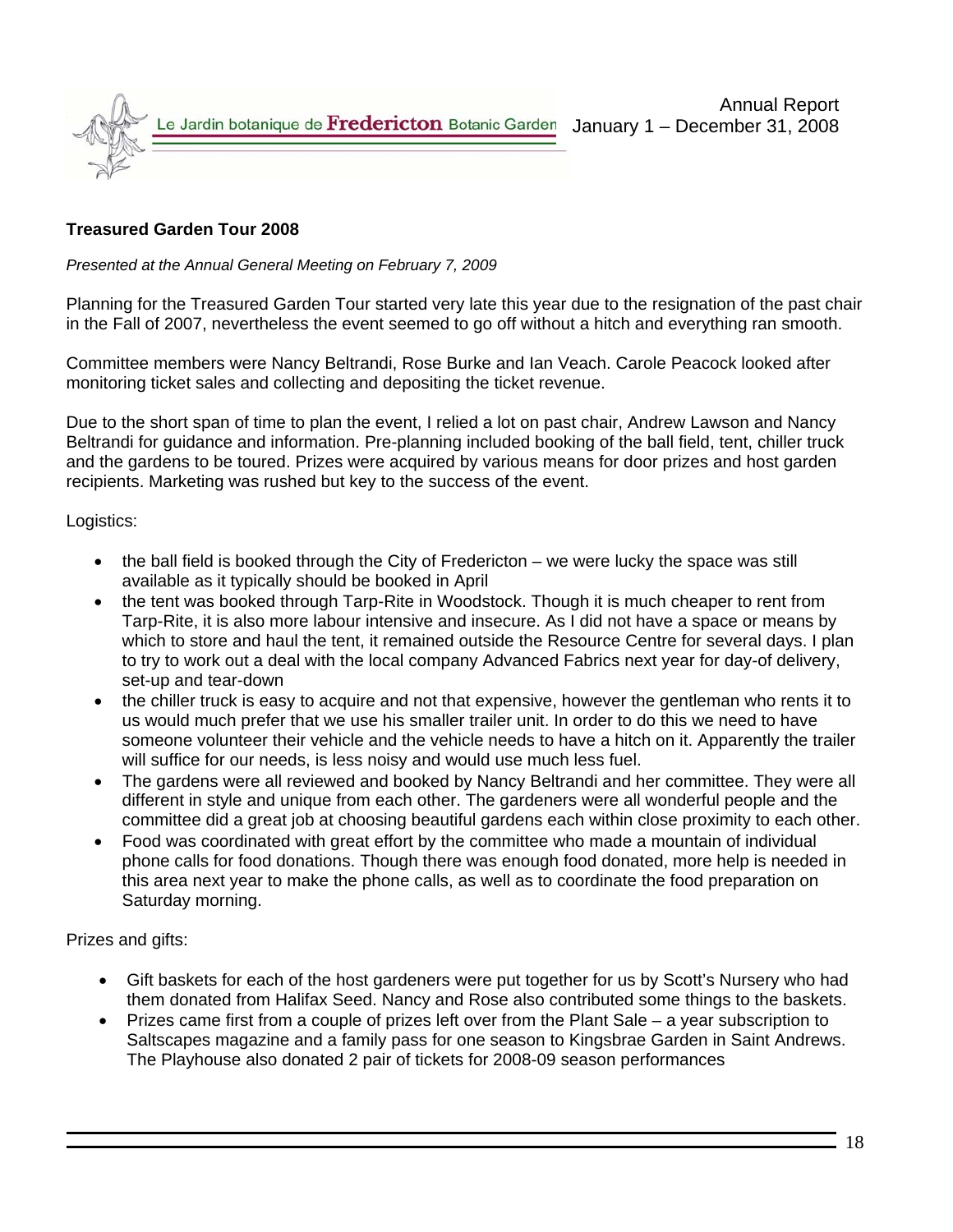

### **Treasured Garden Tour 2008**

*Presented at the Annual General Meeting on February 7, 2009*

Planning for the Treasured Garden Tour started very late this year due to the resignation of the past chair in the Fall of 2007, nevertheless the event seemed to go off without a hitch and everything ran smooth.

Committee members were Nancy Beltrandi, Rose Burke and Ian Veach. Carole Peacock looked after monitoring ticket sales and collecting and depositing the ticket revenue.

Due to the short span of time to plan the event, I relied a lot on past chair, Andrew Lawson and Nancy Beltrandi for guidance and information. Pre-planning included booking of the ball field, tent, chiller truck and the gardens to be toured. Prizes were acquired by various means for door prizes and host garden recipients. Marketing was rushed but key to the success of the event.

Logistics:

- the ball field is booked through the City of Fredericton we were lucky the space was still available as it typically should be booked in April
- the tent was booked through Tarp-Rite in Woodstock. Though it is much cheaper to rent from Tarp-Rite, it is also more labour intensive and insecure. As I did not have a space or means by which to store and haul the tent, it remained outside the Resource Centre for several days. I plan to try to work out a deal with the local company Advanced Fabrics next year for day-of delivery, set-up and tear-down
- the chiller truck is easy to acquire and not that expensive, however the gentleman who rents it to us would much prefer that we use his smaller trailer unit. In order to do this we need to have someone volunteer their vehicle and the vehicle needs to have a hitch on it. Apparently the trailer will suffice for our needs, is less noisy and would use much less fuel.
- The gardens were all reviewed and booked by Nancy Beltrandi and her committee. They were all different in style and unique from each other. The gardeners were all wonderful people and the committee did a great job at choosing beautiful gardens each within close proximity to each other.
- Food was coordinated with great effort by the committee who made a mountain of individual phone calls for food donations. Though there was enough food donated, more help is needed in this area next year to make the phone calls, as well as to coordinate the food preparation on Saturday morning.

Prizes and gifts:

- Gift baskets for each of the host gardeners were put together for us by Scott's Nursery who had them donated from Halifax Seed. Nancy and Rose also contributed some things to the baskets.
- Prizes came first from a couple of prizes left over from the Plant Sale a year subscription to Saltscapes magazine and a family pass for one season to Kingsbrae Garden in Saint Andrews. The Playhouse also donated 2 pair of tickets for 2008-09 season performances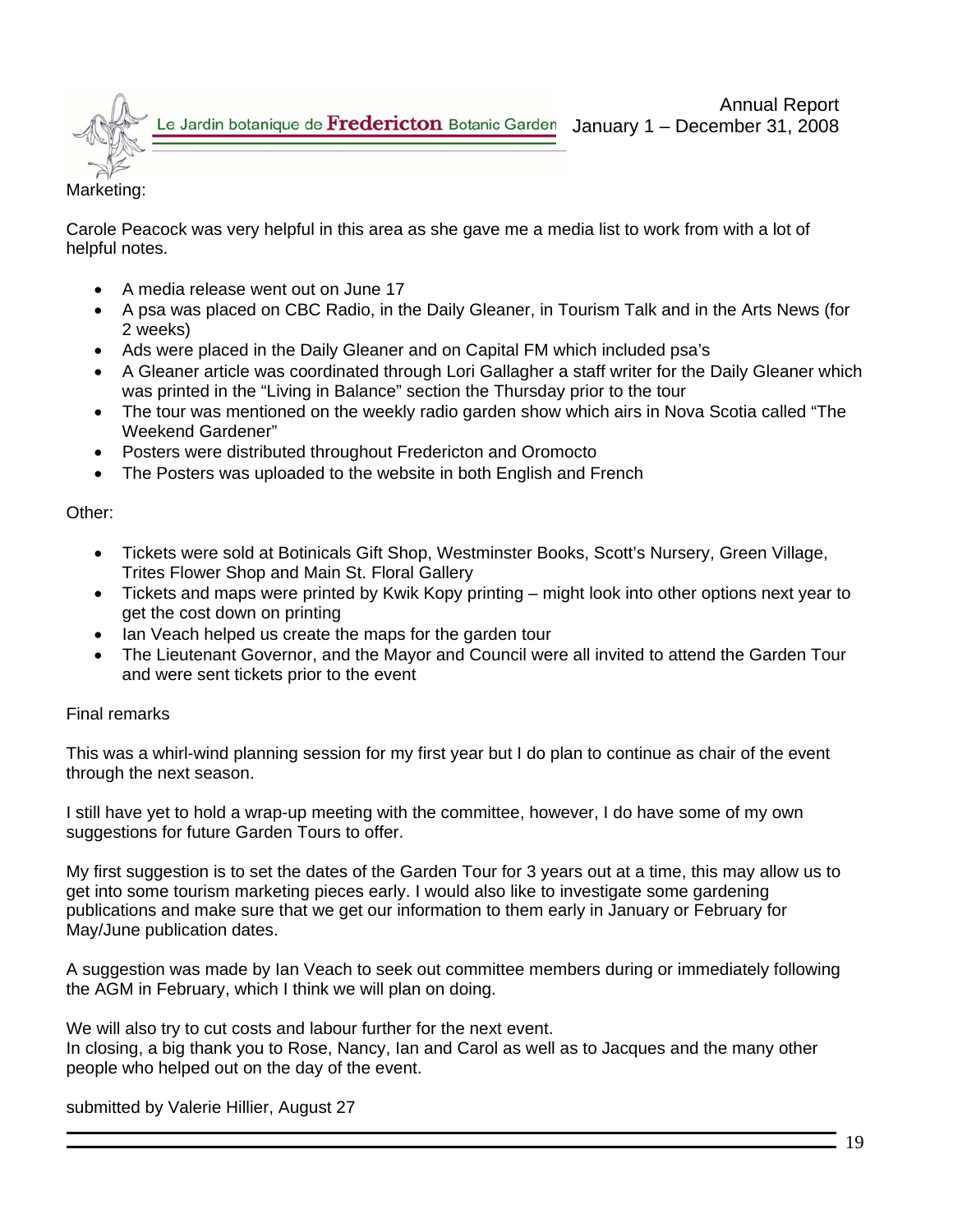

### Marketing:

Carole Peacock was very helpful in this area as she gave me a media list to work from with a lot of helpful notes.

- A media release went out on June 17
- A psa was placed on CBC Radio, in the Daily Gleaner, in Tourism Talk and in the Arts News (for 2 weeks)
- Ads were placed in the Daily Gleaner and on Capital FM which included psa's
- A Gleaner article was coordinated through Lori Gallagher a staff writer for the Daily Gleaner which was printed in the "Living in Balance" section the Thursday prior to the tour
- The tour was mentioned on the weekly radio garden show which airs in Nova Scotia called "The Weekend Gardener"
- Posters were distributed throughout Fredericton and Oromocto
- The Posters was uploaded to the website in both English and French

Other:

- Tickets were sold at Botinicals Gift Shop, Westminster Books, Scott's Nursery, Green Village, Trites Flower Shop and Main St. Floral Gallery
- Tickets and maps were printed by Kwik Kopy printing might look into other options next year to get the cost down on printing
- Ian Veach helped us create the maps for the garden tour
- The Lieutenant Governor, and the Mayor and Council were all invited to attend the Garden Tour and were sent tickets prior to the event

### Final remarks

This was a whirl-wind planning session for my first year but I do plan to continue as chair of the event through the next season.

I still have yet to hold a wrap-up meeting with the committee, however, I do have some of my own suggestions for future Garden Tours to offer.

My first suggestion is to set the dates of the Garden Tour for 3 years out at a time, this may allow us to get into some tourism marketing pieces early. I would also like to investigate some gardening publications and make sure that we get our information to them early in January or February for May/June publication dates.

A suggestion was made by Ian Veach to seek out committee members during or immediately following the AGM in February, which I think we will plan on doing.

We will also try to cut costs and labour further for the next event. In closing, a big thank you to Rose, Nancy, Ian and Carol as well as to Jacques and the many other people who helped out on the day of the event.

submitted by Valerie Hillier, August 27